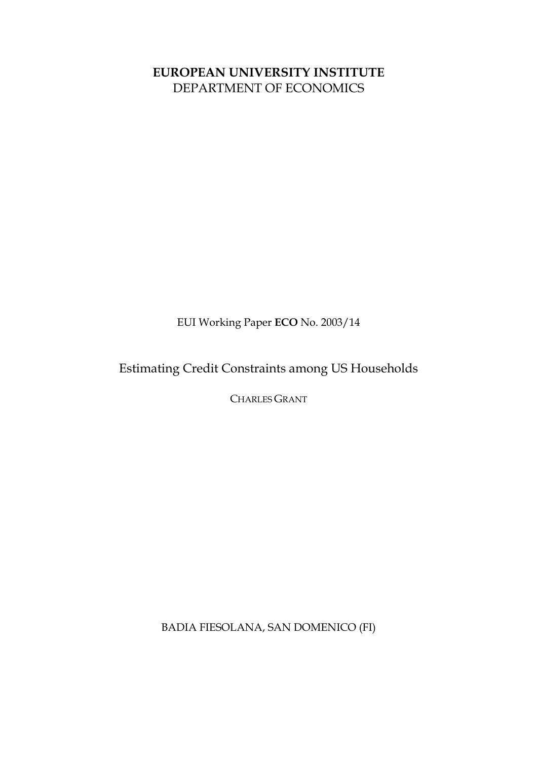# **EUROPEAN UNIVERSITY INSTITUTE** DEPARTMENT OF ECONOMICS

EUI Working Paper **ECO** No. 2003/14

Estimating Credit Constraints among US Households

CHARLES GRANT

BADIA FIESOLANA, SAN DOMENICO (FI)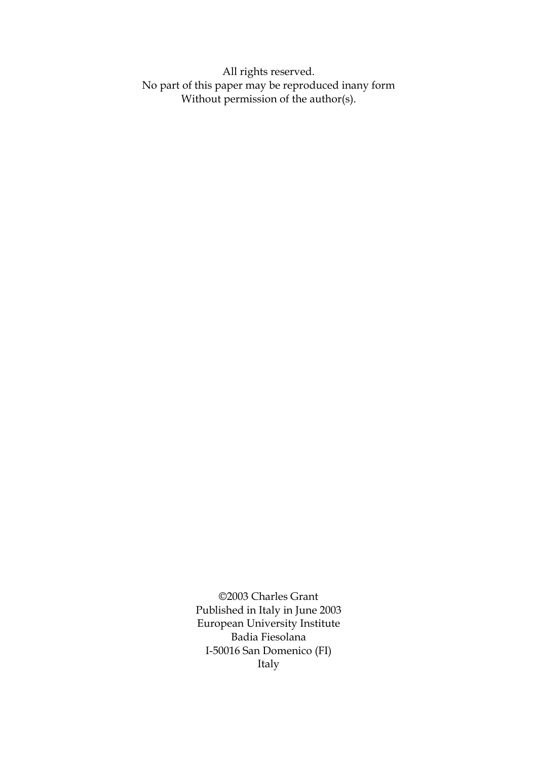All rights reserved. No part of this paper may be reproduced inany form Without permission of the author(s).

> ©2003 Charles Grant Published in Italy in June 2003 European University Institute Badia Fiesolana I-50016 San Domenico (FI) Italy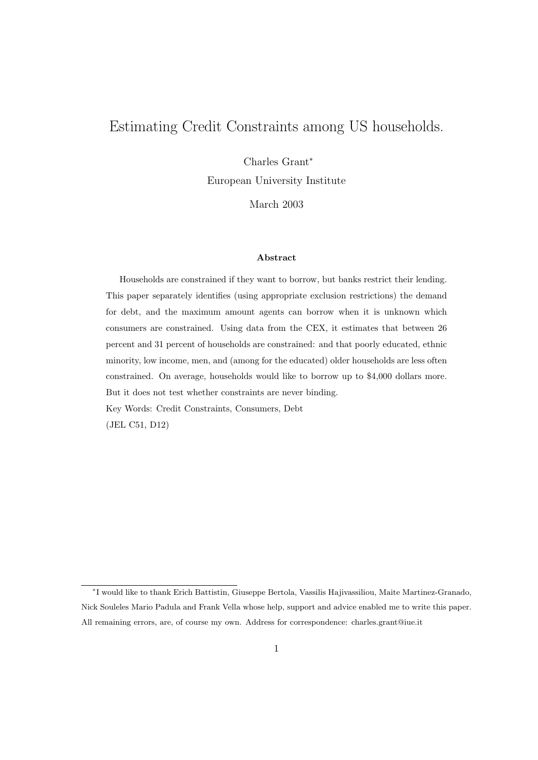## Estimating Credit Constraints among US households.

Charles Grant<sup>∗</sup>

European University Institute

March 2003

#### Abstract

Households are constrained if they want to borrow, but banks restrict their lending. This paper separately identifies (using appropriate exclusion restrictions) the demand for debt, and the maximum amount agents can borrow when it is unknown which consumers are constrained. Using data from the CEX, it estimates that between 26 percent and 31 percent of households are constrained: and that poorly educated, ethnic minority, low income, men, and (among for the educated) older households are less often constrained. On average, households would like to borrow up to \$4,000 dollars more. But it does not test whether constraints are never binding. Key Words: Credit Constraints, Consumers, Debt (JEL C51, D12)

<sup>∗</sup> I would like to thank Erich Battistin, Giuseppe Bertola, Vassilis Hajivassiliou, Maite Martinez-Granado, Nick Souleles Mario Padula and Frank Vella whose help, support and advice enabled me to write this paper. All remaining errors, are, of course my own. Address for correspondence: charles.grant@iue.it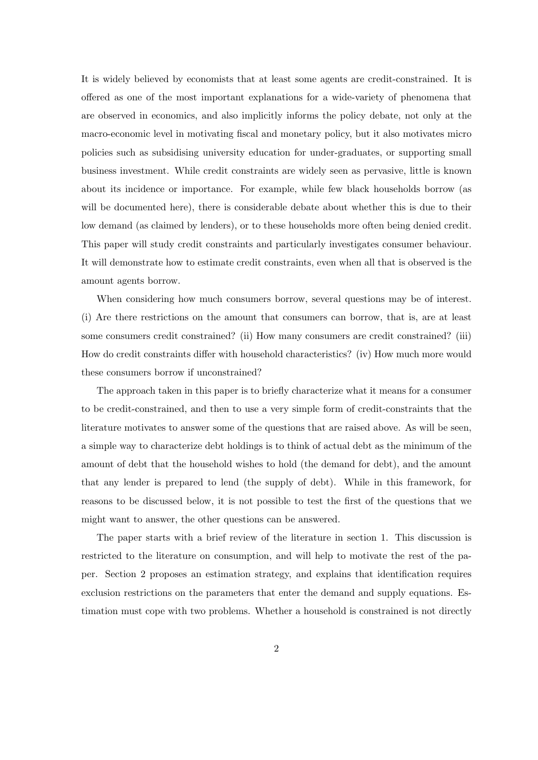It is widely believed by economists that at least some agents are credit-constrained. It is offered as one of the most important explanations for a wide-variety of phenomena that are observed in economics, and also implicitly informs the policy debate, not only at the macro-economic level in motivating fiscal and monetary policy, but it also motivates micro policies such as subsidising university education for under-graduates, or supporting small business investment. While credit constraints are widely seen as pervasive, little is known about its incidence or importance. For example, while few black households borrow (as will be documented here), there is considerable debate about whether this is due to their low demand (as claimed by lenders), or to these households more often being denied credit. This paper will study credit constraints and particularly investigates consumer behaviour. It will demonstrate how to estimate credit constraints, even when all that is observed is the amount agents borrow.

When considering how much consumers borrow, several questions may be of interest. (i) Are there restrictions on the amount that consumers can borrow, that is, are at least some consumers credit constrained? (ii) How many consumers are credit constrained? (iii) How do credit constraints differ with household characteristics? (iv) How much more would these consumers borrow if unconstrained?

The approach taken in this paper is to briefly characterize what it means for a consumer to be credit-constrained, and then to use a very simple form of credit-constraints that the literature motivates to answer some of the questions that are raised above. As will be seen, a simple way to characterize debt holdings is to think of actual debt as the minimum of the amount of debt that the household wishes to hold (the demand for debt), and the amount that any lender is prepared to lend (the supply of debt). While in this framework, for reasons to be discussed below, it is not possible to test the first of the questions that we might want to answer, the other questions can be answered.

The paper starts with a brief review of the literature in section 1. This discussion is restricted to the literature on consumption, and will help to motivate the rest of the paper. Section 2 proposes an estimation strategy, and explains that identification requires exclusion restrictions on the parameters that enter the demand and supply equations. Estimation must cope with two problems. Whether a household is constrained is not directly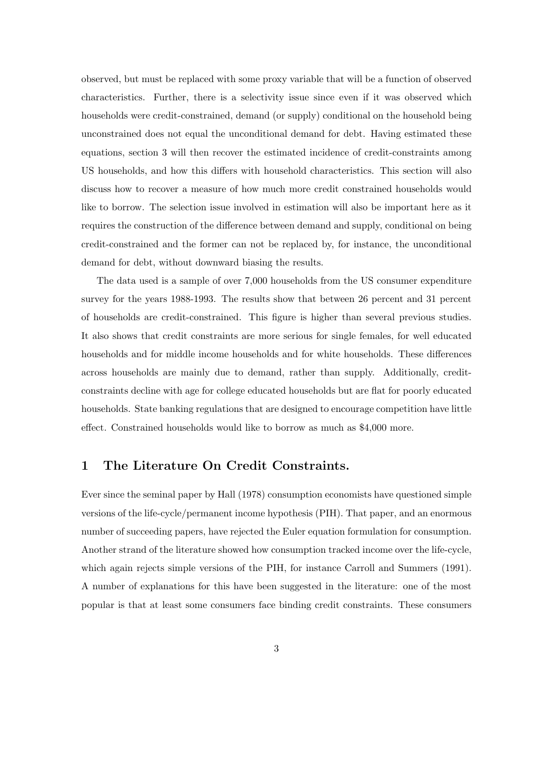observed, but must be replaced with some proxy variable that will be a function of observed characteristics. Further, there is a selectivity issue since even if it was observed which households were credit-constrained, demand (or supply) conditional on the household being unconstrained does not equal the unconditional demand for debt. Having estimated these equations, section 3 will then recover the estimated incidence of credit-constraints among US households, and how this differs with household characteristics. This section will also discuss how to recover a measure of how much more credit constrained households would like to borrow. The selection issue involved in estimation will also be important here as it requires the construction of the difference between demand and supply, conditional on being credit-constrained and the former can not be replaced by, for instance, the unconditional demand for debt, without downward biasing the results.

The data used is a sample of over 7,000 households from the US consumer expenditure survey for the years 1988-1993. The results show that between 26 percent and 31 percent of households are credit-constrained. This figure is higher than several previous studies. It also shows that credit constraints are more serious for single females, for well educated households and for middle income households and for white households. These differences across households are mainly due to demand, rather than supply. Additionally, creditconstraints decline with age for college educated households but are flat for poorly educated households. State banking regulations that are designed to encourage competition have little effect. Constrained households would like to borrow as much as \$4,000 more.

### 1 The Literature On Credit Constraints.

Ever since the seminal paper by Hall (1978) consumption economists have questioned simple versions of the life-cycle/permanent income hypothesis (PIH). That paper, and an enormous number of succeeding papers, have rejected the Euler equation formulation for consumption. Another strand of the literature showed how consumption tracked income over the life-cycle, which again rejects simple versions of the PIH, for instance Carroll and Summers (1991). A number of explanations for this have been suggested in the literature: one of the most popular is that at least some consumers face binding credit constraints. These consumers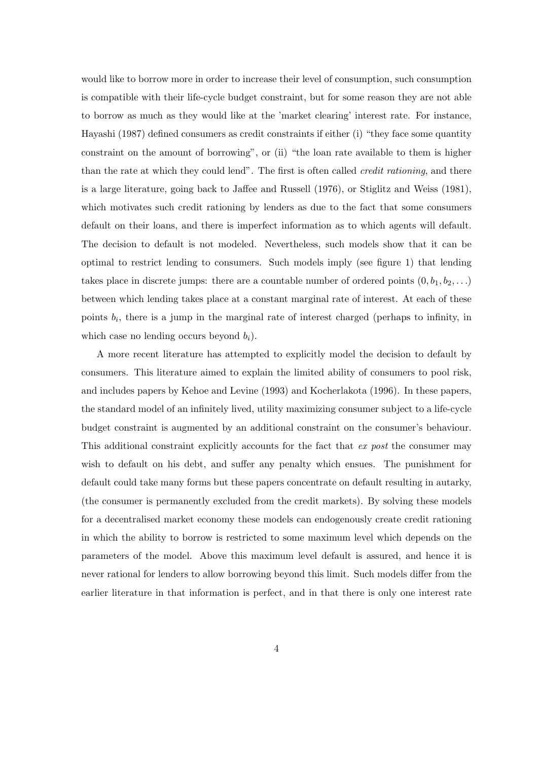would like to borrow more in order to increase their level of consumption, such consumption is compatible with their life-cycle budget constraint, but for some reason they are not able to borrow as much as they would like at the 'market clearing' interest rate. For instance, Hayashi (1987) defined consumers as credit constraints if either (i) "they face some quantity constraint on the amount of borrowing", or (ii) "the loan rate available to them is higher than the rate at which they could lend". The first is often called *credit rationing*, and there is a large literature, going back to Jaffee and Russell (1976), or Stiglitz and Weiss (1981), which motivates such credit rationing by lenders as due to the fact that some consumers default on their loans, and there is imperfect information as to which agents will default. The decision to default is not modeled. Nevertheless, such models show that it can be optimal to restrict lending to consumers. Such models imply (see figure 1) that lending takes place in discrete jumps: there are a countable number of ordered points  $(0, b_1, b_2, \ldots)$ between which lending takes place at a constant marginal rate of interest. At each of these points  $b_i$ , there is a jump in the marginal rate of interest charged (perhaps to infinity, in which case no lending occurs beyond  $b_i$ ).

A more recent literature has attempted to explicitly model the decision to default by consumers. This literature aimed to explain the limited ability of consumers to pool risk, and includes papers by Kehoe and Levine (1993) and Kocherlakota (1996). In these papers, the standard model of an infinitely lived, utility maximizing consumer subject to a life-cycle budget constraint is augmented by an additional constraint on the consumer's behaviour. This additional constraint explicitly accounts for the fact that ex post the consumer may wish to default on his debt, and suffer any penalty which ensues. The punishment for default could take many forms but these papers concentrate on default resulting in autarky, (the consumer is permanently excluded from the credit markets). By solving these models for a decentralised market economy these models can endogenously create credit rationing in which the ability to borrow is restricted to some maximum level which depends on the parameters of the model. Above this maximum level default is assured, and hence it is never rational for lenders to allow borrowing beyond this limit. Such models differ from the earlier literature in that information is perfect, and in that there is only one interest rate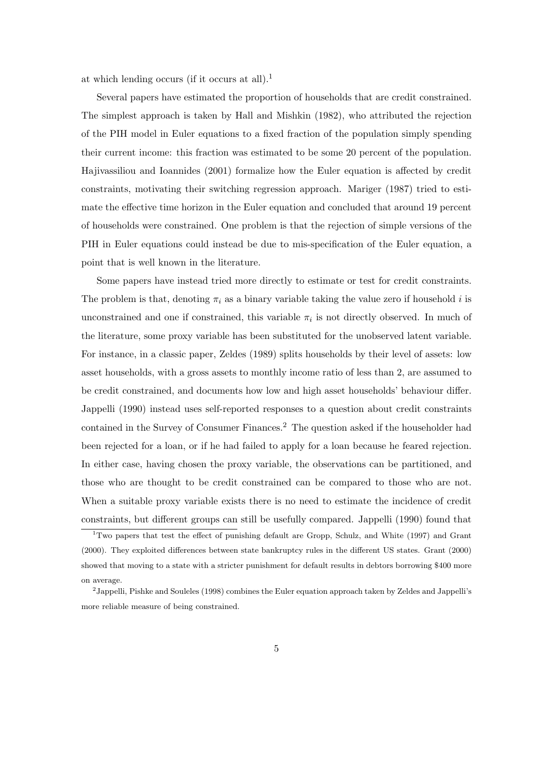at which lending occurs (if it occurs at all).<sup>1</sup>

Several papers have estimated the proportion of households that are credit constrained. The simplest approach is taken by Hall and Mishkin (1982), who attributed the rejection of the PIH model in Euler equations to a fixed fraction of the population simply spending their current income: this fraction was estimated to be some 20 percent of the population. Hajivassiliou and Ioannides (2001) formalize how the Euler equation is affected by credit constraints, motivating their switching regression approach. Mariger (1987) tried to estimate the effective time horizon in the Euler equation and concluded that around 19 percent of households were constrained. One problem is that the rejection of simple versions of the PIH in Euler equations could instead be due to mis-specification of the Euler equation, a point that is well known in the literature.

Some papers have instead tried more directly to estimate or test for credit constraints. The problem is that, denoting  $\pi_i$  as a binary variable taking the value zero if household i is unconstrained and one if constrained, this variable  $\pi_i$  is not directly observed. In much of the literature, some proxy variable has been substituted for the unobserved latent variable. For instance, in a classic paper, Zeldes (1989) splits households by their level of assets: low asset households, with a gross assets to monthly income ratio of less than 2, are assumed to be credit constrained, and documents how low and high asset households' behaviour differ. Jappelli (1990) instead uses self-reported responses to a question about credit constraints contained in the Survey of Consumer Finances.<sup>2</sup> The question asked if the householder had been rejected for a loan, or if he had failed to apply for a loan because he feared rejection. In either case, having chosen the proxy variable, the observations can be partitioned, and those who are thought to be credit constrained can be compared to those who are not. When a suitable proxy variable exists there is no need to estimate the incidence of credit constraints, but different groups can still be usefully compared. Jappelli (1990) found that

<sup>1</sup>Two papers that test the effect of punishing default are Gropp, Schulz, and White (1997) and Grant (2000). They exploited differences between state bankruptcy rules in the different US states. Grant (2000) showed that moving to a state with a stricter punishment for default results in debtors borrowing \$400 more on average.

<sup>&</sup>lt;sup>2</sup> Jappelli, Pishke and Souleles (1998) combines the Euler equation approach taken by Zeldes and Jappelli's more reliable measure of being constrained.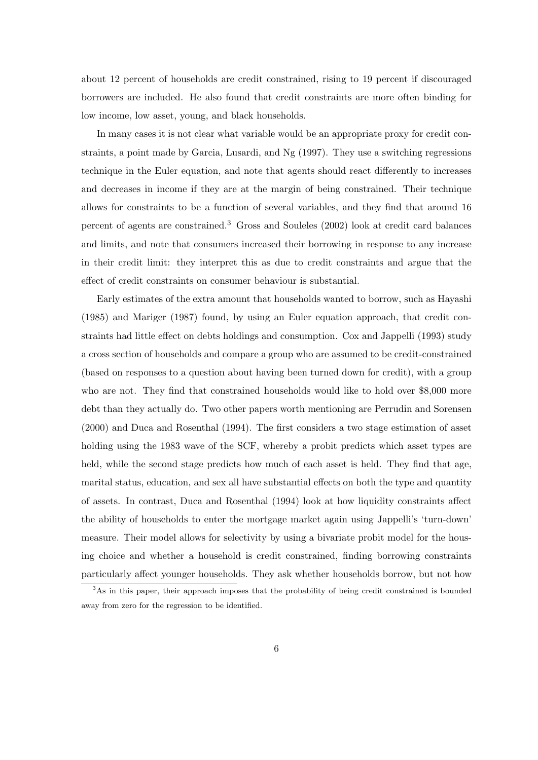about 12 percent of households are credit constrained, rising to 19 percent if discouraged borrowers are included. He also found that credit constraints are more often binding for low income, low asset, young, and black households.

In many cases it is not clear what variable would be an appropriate proxy for credit constraints, a point made by Garcia, Lusardi, and Ng (1997). They use a switching regressions technique in the Euler equation, and note that agents should react differently to increases and decreases in income if they are at the margin of being constrained. Their technique allows for constraints to be a function of several variables, and they find that around 16 percent of agents are constrained.<sup>3</sup> Gross and Souleles (2002) look at credit card balances and limits, and note that consumers increased their borrowing in response to any increase in their credit limit: they interpret this as due to credit constraints and argue that the effect of credit constraints on consumer behaviour is substantial.

Early estimates of the extra amount that households wanted to borrow, such as Hayashi (1985) and Mariger (1987) found, by using an Euler equation approach, that credit constraints had little effect on debts holdings and consumption. Cox and Jappelli (1993) study a cross section of households and compare a group who are assumed to be credit-constrained (based on responses to a question about having been turned down for credit), with a group who are not. They find that constrained households would like to hold over \$8,000 more debt than they actually do. Two other papers worth mentioning are Perrudin and Sorensen (2000) and Duca and Rosenthal (1994). The first considers a two stage estimation of asset holding using the 1983 wave of the SCF, whereby a probit predicts which asset types are held, while the second stage predicts how much of each asset is held. They find that age, marital status, education, and sex all have substantial effects on both the type and quantity of assets. In contrast, Duca and Rosenthal (1994) look at how liquidity constraints affect the ability of households to enter the mortgage market again using Jappelli's 'turn-down' measure. Their model allows for selectivity by using a bivariate probit model for the housing choice and whether a household is credit constrained, finding borrowing constraints particularly affect younger households. They ask whether households borrow, but not how

<sup>&</sup>lt;sup>3</sup>As in this paper, their approach imposes that the probability of being credit constrained is bounded away from zero for the regression to be identified.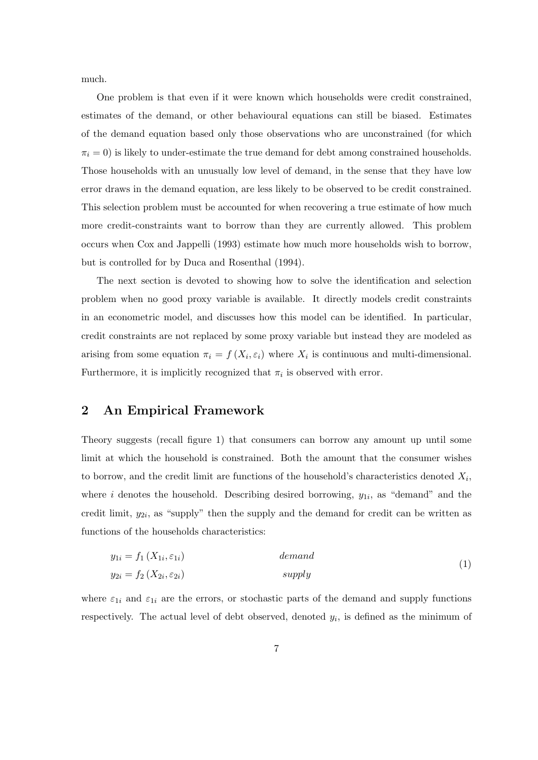much.

One problem is that even if it were known which households were credit constrained, estimates of the demand, or other behavioural equations can still be biased. Estimates of the demand equation based only those observations who are unconstrained (for which  $\pi_i = 0$ ) is likely to under-estimate the true demand for debt among constrained households. Those households with an unusually low level of demand, in the sense that they have low error draws in the demand equation, are less likely to be observed to be credit constrained. This selection problem must be accounted for when recovering a true estimate of how much more credit-constraints want to borrow than they are currently allowed. This problem occurs when Cox and Jappelli (1993) estimate how much more households wish to borrow, but is controlled for by Duca and Rosenthal (1994).

The next section is devoted to showing how to solve the identification and selection problem when no good proxy variable is available. It directly models credit constraints in an econometric model, and discusses how this model can be identified. In particular, credit constraints are not replaced by some proxy variable but instead they are modeled as arising from some equation  $\pi_i = f(X_i, \varepsilon_i)$  where  $X_i$  is continuous and multi-dimensional. Furthermore, it is implicitly recognized that  $\pi_i$  is observed with error.

### 2 An Empirical Framework

Theory suggests (recall figure 1) that consumers can borrow any amount up until some limit at which the household is constrained. Both the amount that the consumer wishes to borrow, and the credit limit are functions of the household's characteristics denoted  $X_i$ , where *i* denotes the household. Describing desired borrowing,  $y_{1i}$ , as "demand" and the credit limit,  $y_{2i}$ , as "supply" then the supply and the demand for credit can be written as functions of the households characteristics:

$$
y_{1i} = f_1(X_{1i}, \varepsilon_{1i})
$$
 *demand*  
\n
$$
y_{2i} = f_2(X_{2i}, \varepsilon_{2i})
$$
 *apply* (1)

where  $\varepsilon_{1i}$  and  $\varepsilon_{1i}$  are the errors, or stochastic parts of the demand and supply functions respectively. The actual level of debt observed, denoted  $y_i$ , is defined as the minimum of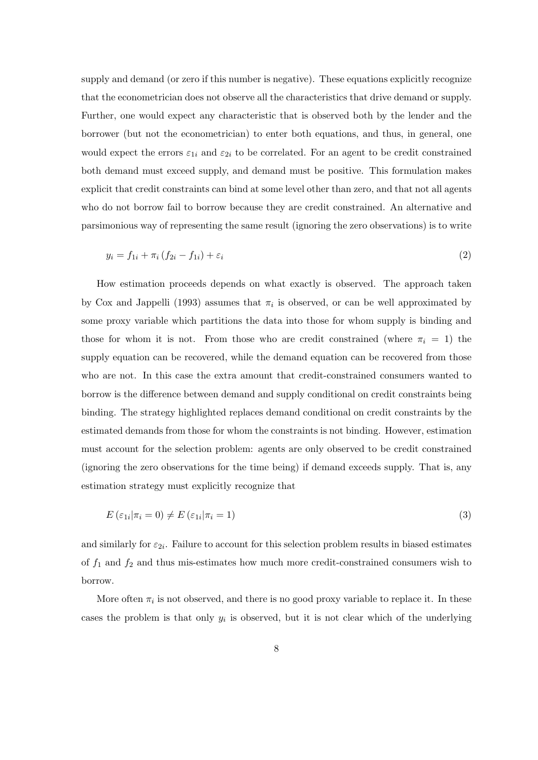supply and demand (or zero if this number is negative). These equations explicitly recognize that the econometrician does not observe all the characteristics that drive demand or supply. Further, one would expect any characteristic that is observed both by the lender and the borrower (but not the econometrician) to enter both equations, and thus, in general, one would expect the errors  $\varepsilon_{1i}$  and  $\varepsilon_{2i}$  to be correlated. For an agent to be credit constrained both demand must exceed supply, and demand must be positive. This formulation makes explicit that credit constraints can bind at some level other than zero, and that not all agents who do not borrow fail to borrow because they are credit constrained. An alternative and parsimonious way of representing the same result (ignoring the zero observations) is to write

$$
y_i = f_{1i} + \pi_i (f_{2i} - f_{1i}) + \varepsilon_i
$$
 (2)

How estimation proceeds depends on what exactly is observed. The approach taken by Cox and Jappelli (1993) assumes that  $\pi_i$  is observed, or can be well approximated by some proxy variable which partitions the data into those for whom supply is binding and those for whom it is not. From those who are credit constrained (where  $\pi_i = 1$ ) the supply equation can be recovered, while the demand equation can be recovered from those who are not. In this case the extra amount that credit-constrained consumers wanted to borrow is the difference between demand and supply conditional on credit constraints being binding. The strategy highlighted replaces demand conditional on credit constraints by the estimated demands from those for whom the constraints is not binding. However, estimation must account for the selection problem: agents are only observed to be credit constrained (ignoring the zero observations for the time being) if demand exceeds supply. That is, any estimation strategy must explicitly recognize that

$$
E\left(\varepsilon_{1i}|\pi_i=0\right) \neq E\left(\varepsilon_{1i}|\pi_i=1\right) \tag{3}
$$

and similarly for  $\varepsilon_{2i}$ . Failure to account for this selection problem results in biased estimates of  $f_1$  and  $f_2$  and thus mis-estimates how much more credit-constrained consumers wish to borrow.

More often  $\pi_i$  is not observed, and there is no good proxy variable to replace it. In these cases the problem is that only  $y_i$  is observed, but it is not clear which of the underlying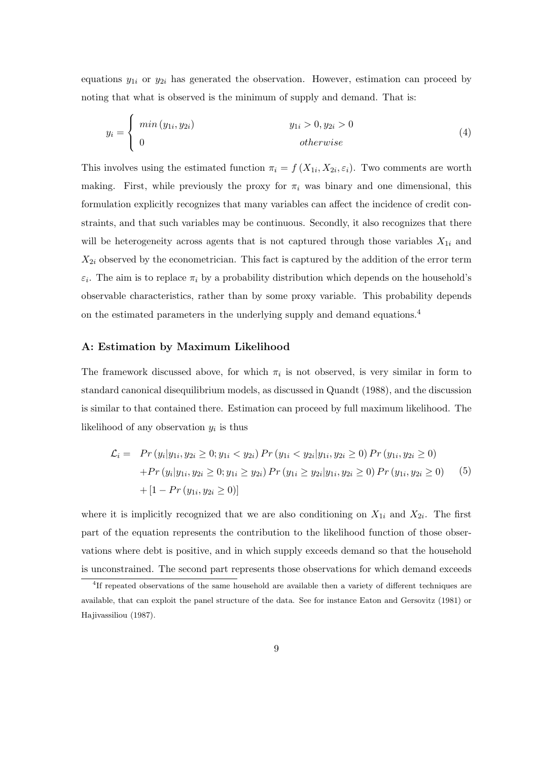equations  $y_{1i}$  or  $y_{2i}$  has generated the observation. However, estimation can proceed by noting that what is observed is the minimum of supply and demand. That is:

$$
y_i = \begin{cases} \min(y_{1i}, y_{2i}) & y_{1i} > 0, y_{2i} > 0 \\ 0 & otherwise \end{cases}
$$
 (4)

This involves using the estimated function  $\pi_i = f(X_{1i}, X_{2i}, \varepsilon_i)$ . Two comments are worth making. First, while previously the proxy for  $\pi_i$  was binary and one dimensional, this formulation explicitly recognizes that many variables can affect the incidence of credit constraints, and that such variables may be continuous. Secondly, it also recognizes that there will be heterogeneity across agents that is not captured through those variables  $X_{1i}$  and  $X_{2i}$  observed by the econometrician. This fact is captured by the addition of the error term  $\varepsilon_i$ . The aim is to replace  $\pi_i$  by a probability distribution which depends on the household's observable characteristics, rather than by some proxy variable. This probability depends on the estimated parameters in the underlying supply and demand equations.<sup>4</sup>

#### A: Estimation by Maximum Likelihood

The framework discussed above, for which  $\pi_i$  is not observed, is very similar in form to standard canonical disequilibrium models, as discussed in Quandt (1988), and the discussion is similar to that contained there. Estimation can proceed by full maximum likelihood. The likelihood of any observation  $y_i$  is thus

$$
\mathcal{L}_i = \Pr(y_i|y_{1i}, y_{2i} \ge 0; y_{1i} < y_{2i}) \Pr(y_{1i} < y_{2i}|y_{1i}, y_{2i} \ge 0) \Pr(y_{1i}, y_{2i} \ge 0) \n+ \Pr(y_i|y_{1i}, y_{2i} \ge 0; y_{1i} \ge y_{2i}) \Pr(y_{1i} \ge y_{2i}|y_{1i}, y_{2i} \ge 0) \Pr(y_{1i}, y_{2i} \ge 0) \n+ [1 - \Pr(y_{1i}, y_{2i} \ge 0)]
$$
\n(5)

where it is implicitly recognized that we are also conditioning on  $X_{1i}$  and  $X_{2i}$ . The first part of the equation represents the contribution to the likelihood function of those observations where debt is positive, and in which supply exceeds demand so that the household is unconstrained. The second part represents those observations for which demand exceeds

<sup>&</sup>lt;sup>4</sup>If repeated observations of the same household are available then a variety of different techniques are available, that can exploit the panel structure of the data. See for instance Eaton and Gersovitz (1981) or Hajivassiliou (1987).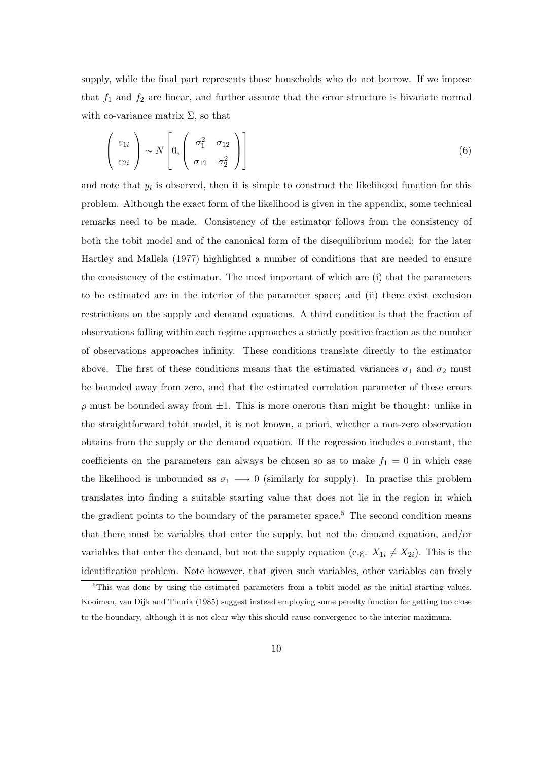supply, while the final part represents those households who do not borrow. If we impose that  $f_1$  and  $f_2$  are linear, and further assume that the error structure is bivariate normal with co-variance matrix  $\Sigma$ , so that

$$
\begin{pmatrix} \varepsilon_{1i} \\ \varepsilon_{2i} \end{pmatrix} \sim N \begin{bmatrix} \sigma_1^2 & \sigma_{12} \\ \sigma_{12} & \sigma_2^2 \end{bmatrix}
$$
 (6)

and note that  $y_i$  is observed, then it is simple to construct the likelihood function for this problem. Although the exact form of the likelihood is given in the appendix, some technical remarks need to be made. Consistency of the estimator follows from the consistency of both the tobit model and of the canonical form of the disequilibrium model: for the later Hartley and Mallela (1977) highlighted a number of conditions that are needed to ensure the consistency of the estimator. The most important of which are (i) that the parameters to be estimated are in the interior of the parameter space; and (ii) there exist exclusion restrictions on the supply and demand equations. A third condition is that the fraction of observations falling within each regime approaches a strictly positive fraction as the number of observations approaches infinity. These conditions translate directly to the estimator above. The first of these conditions means that the estimated variances  $\sigma_1$  and  $\sigma_2$  must be bounded away from zero, and that the estimated correlation parameter of these errors  $\rho$  must be bounded away from  $\pm 1$ . This is more onerous than might be thought: unlike in the straightforward tobit model, it is not known, a priori, whether a non-zero observation obtains from the supply or the demand equation. If the regression includes a constant, the coefficients on the parameters can always be chosen so as to make  $f_1 = 0$  in which case the likelihood is unbounded as  $\sigma_1 \longrightarrow 0$  (similarly for supply). In practise this problem translates into finding a suitable starting value that does not lie in the region in which the gradient points to the boundary of the parameter space.<sup>5</sup> The second condition means that there must be variables that enter the supply, but not the demand equation, and/or variables that enter the demand, but not the supply equation (e.g.  $X_{1i} \neq X_{2i}$ ). This is the identification problem. Note however, that given such variables, other variables can freely

<sup>&</sup>lt;sup>5</sup>This was done by using the estimated parameters from a tobit model as the initial starting values. Kooiman, van Dijk and Thurik (1985) suggest instead employing some penalty function for getting too close to the boundary, although it is not clear why this should cause convergence to the interior maximum.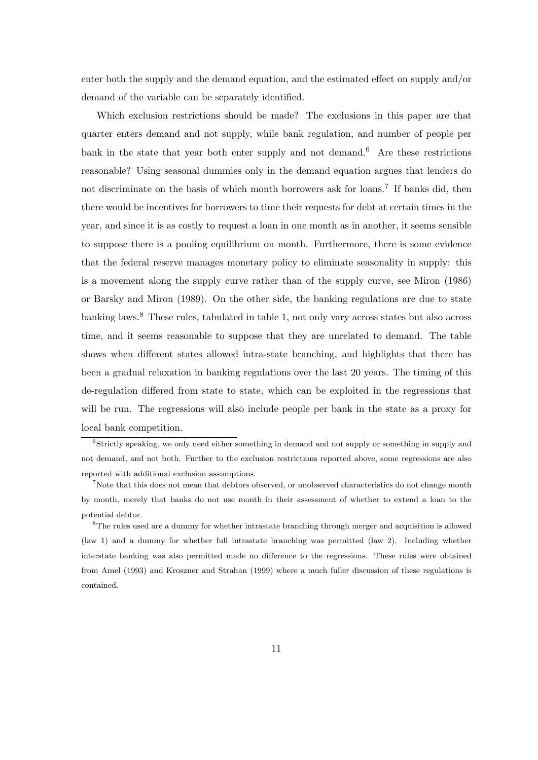enter both the supply and the demand equation, and the estimated effect on supply and/or demand of the variable can be separately identified.

Which exclusion restrictions should be made? The exclusions in this paper are that quarter enters demand and not supply, while bank regulation, and number of people per bank in the state that year both enter supply and not demand.<sup>6</sup> Are these restrictions reasonable? Using seasonal dummies only in the demand equation argues that lenders do not discriminate on the basis of which month borrowers ask for loans.<sup>7</sup> If banks did, then there would be incentives for borrowers to time their requests for debt at certain times in the year, and since it is as costly to request a loan in one month as in another, it seems sensible to suppose there is a pooling equilibrium on month. Furthermore, there is some evidence that the federal reserve manages monetary policy to eliminate seasonality in supply: this is a movement along the supply curve rather than of the supply curve, see Miron (1986) or Barsky and Miron (1989). On the other side, the banking regulations are due to state banking laws.<sup>8</sup> These rules, tabulated in table 1, not only vary across states but also across time, and it seems reasonable to suppose that they are unrelated to demand. The table shows when different states allowed intra-state branching, and highlights that there has been a gradual relaxation in banking regulations over the last 20 years. The timing of this de-regulation differed from state to state, which can be exploited in the regressions that will be run. The regressions will also include people per bank in the state as a proxy for local bank competition.

<sup>&</sup>lt;sup>6</sup>Strictly speaking, we only need either something in demand and not supply or something in supply and not demand, and not both. Further to the exclusion restrictions reported above, some regressions are also reported with additional exclusion assumptions.

<sup>&</sup>lt;sup>7</sup>Note that this does not mean that debtors observed, or unobserved characteristics do not change month by month, merely that banks do not use month in their assessment of whether to extend a loan to the potential debtor.

<sup>8</sup>The rules used are a dummy for whether intrastate branching through merger and acquisition is allowed (law 1) and a dummy for whether full intrastate branching was permitted (law 2). Including whether interstate banking was also permitted made no difference to the regressions. These rules were obtained from Amel (1993) and Kroszner and Strahan (1999) where a much fuller discussion of these regulations is contained.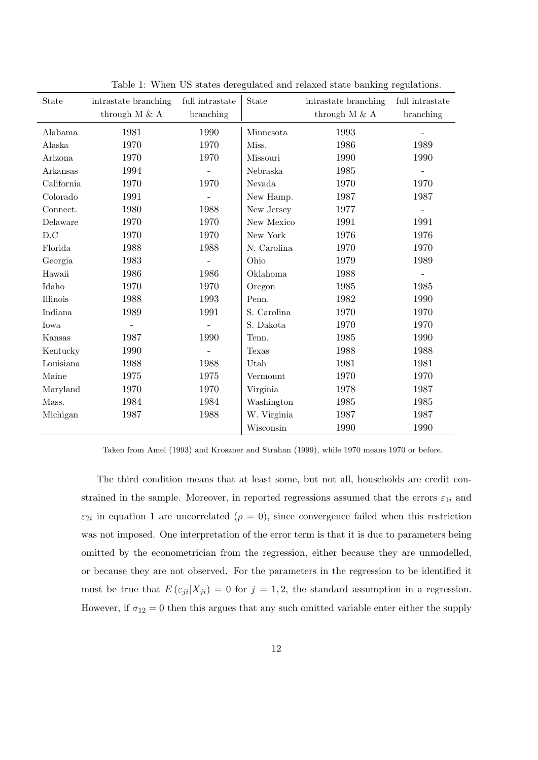| State      | intrastate branching | full intrastate | State       | intrastate branching | full intrastate |
|------------|----------------------|-----------------|-------------|----------------------|-----------------|
|            | through M $\&$ A     | branching       |             | through $M \& A$     | branching       |
| Alabama    | 1981                 | 1990            | Minnesota   | 1993                 |                 |
| Alaska     | 1970                 | 1970            | Miss.       | 1986                 | 1989            |
| Arizona    | 1970                 | 1970            | Missouri    | 1990                 | 1990            |
| Arkansas   | 1994                 |                 | Nebraska    | 1985                 |                 |
| California | 1970                 | 1970            | Nevada      | 1970                 | 1970            |
| Colorado   | 1991                 |                 | New Hamp.   | 1987                 | 1987            |
| Connect.   | 1980                 | 1988            | New Jersey  | 1977                 | $\equiv$        |
| Delaware   | 1970                 | 1970            | New Mexico  | 1991                 | 1991            |
| D.C        | 1970                 | 1970            | New York    | 1976                 | 1976            |
| Florida    | 1988                 | 1988            | N. Carolina | 1970                 | 1970            |
| Georgia    | 1983                 |                 | Ohio        | 1979                 | 1989            |
| Hawaii     | 1986                 | 1986            | Oklahoma    | 1988                 | $\overline{a}$  |
| Idaho      | 1970                 | 1970            | Oregon      | 1985                 | 1985            |
| Illinois   | 1988                 | 1993            | Penn.       | 1982                 | 1990            |
| Indiana    | 1989                 | 1991            | S. Carolina | 1970                 | 1970            |
| Iowa       |                      |                 | S. Dakota   | 1970                 | 1970            |
| Kansas     | 1987                 | 1990            | Tenn.       | 1985                 | 1990            |
| Kentucky   | 1990                 |                 | Texas       | 1988                 | 1988            |
| Louisiana  | 1988                 | 1988            | Utah        | 1981                 | 1981            |
| Maine      | 1975                 | 1975            | Vermount    | 1970                 | 1970            |
| Maryland   | 1970                 | 1970            | Virginia    | 1978                 | 1987            |
| Mass.      | 1984                 | 1984            | Washington  | 1985                 | 1985            |
| Michigan   | 1987                 | 1988            | W. Virginia | 1987                 | 1987            |
|            |                      |                 | Wisconsin   | 1990                 | 1990            |

Table 1: When US states deregulated and relaxed state banking regulations.

Taken from Amel (1993) and Kroszner and Strahan (1999), while 1970 means 1970 or before.

The third condition means that at least some, but not all, households are credit constrained in the sample. Moreover, in reported regressions assumed that the errors  $\varepsilon_{1i}$  and  $\varepsilon_{2i}$  in equation 1 are uncorrelated  $(\rho = 0)$ , since convergence failed when this restriction was not imposed. One interpretation of the error term is that it is due to parameters being omitted by the econometrician from the regression, either because they are unmodelled, or because they are not observed. For the parameters in the regression to be identified it must be true that  $E(\epsilon_{ji}|X_{ji})=0$  for  $j=1,2$ , the standard assumption in a regression. However, if  $\sigma_{12} = 0$  then this argues that any such omitted variable enter either the supply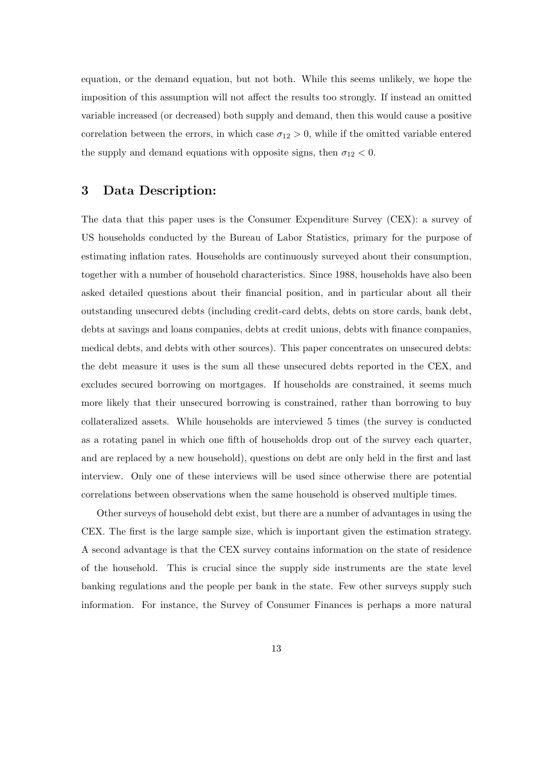equation, or the demand equation, but not both. While this seems unlikely, we hope the imposition of this assumption will not affect the results too strongly. If instead an omitted variable increased (or decreased) both supply and demand, then this would cause a positive correlation between the errors, in which case  $\sigma_{12} > 0$ , while if the omitted variable entered the supply and demand equations with opposite signs, then  $\sigma_{12} < 0$ .

### 3 Data Description:

The data that this paper uses is the Consumer Expenditure Survey (CEX): a survey of US households conducted by the Bureau of Labor Statistics, primary for the purpose of estimating inflation rates. Households are continuously surveyed about their consumption, together with a number of household characteristics. Since 1988, households have also been asked detailed questions about their financial position, and in particular about all their outstanding unsecured debts (including credit-card debts, debts on store cards, bank debt, debts at savings and loans companies, debts at credit unions, debts with finance companies, medical debts, and debts with other sources). This paper concentrates on unsecured debts: the debt measure it uses is the sum all these unsecured debts reported in the CEX, and excludes secured borrowing on mortgages. If households are constrained, it seems much more likely that their unsecured borrowing is constrained, rather than borrowing to buy collateralized assets. While households are interviewed 5 times (the survey is conducted as a rotating panel in which one fifth of households drop out of the survey each quarter, and are replaced by a new household), questions on debt are only held in the first and last interview. Only one of these interviews will be used since otherwise there are potential correlations between observations when the same household is observed multiple times.

Other surveys of household debt exist, but there are a number of advantages in using the CEX. The first is the large sample size, which is important given the estimation strategy. A second advantage is that the CEX survey contains information on the state of residence of the household. This is crucial since the supply side instruments are the state level banking regulations and the people per bank in the state. Few other surveys supply such information. For instance, the Survey of Consumer Finances is perhaps a more natural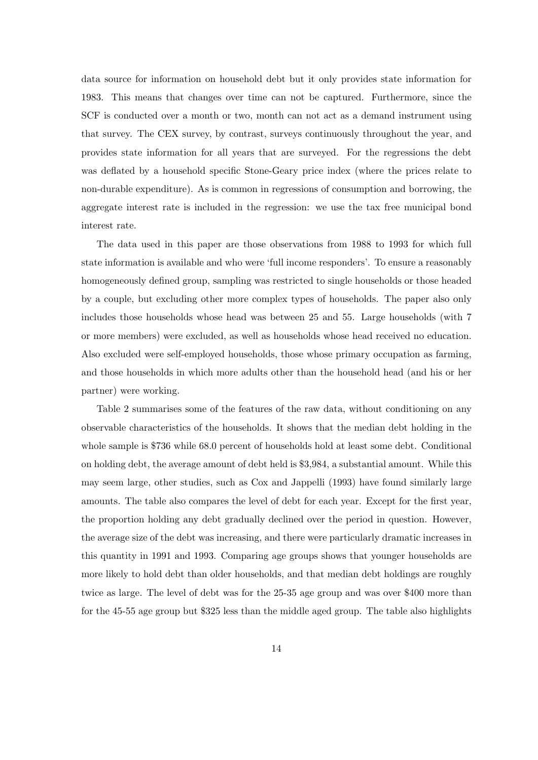data source for information on household debt but it only provides state information for 1983. This means that changes over time can not be captured. Furthermore, since the SCF is conducted over a month or two, month can not act as a demand instrument using that survey. The CEX survey, by contrast, surveys continuously throughout the year, and provides state information for all years that are surveyed. For the regressions the debt was deflated by a household specific Stone-Geary price index (where the prices relate to non-durable expenditure). As is common in regressions of consumption and borrowing, the aggregate interest rate is included in the regression: we use the tax free municipal bond interest rate.

The data used in this paper are those observations from 1988 to 1993 for which full state information is available and who were 'full income responders'. To ensure a reasonably homogeneously defined group, sampling was restricted to single households or those headed by a couple, but excluding other more complex types of households. The paper also only includes those households whose head was between 25 and 55. Large households (with 7 or more members) were excluded, as well as households whose head received no education. Also excluded were self-employed households, those whose primary occupation as farming, and those households in which more adults other than the household head (and his or her partner) were working.

Table 2 summarises some of the features of the raw data, without conditioning on any observable characteristics of the households. It shows that the median debt holding in the whole sample is \$736 while 68.0 percent of households hold at least some debt. Conditional on holding debt, the average amount of debt held is \$3,984, a substantial amount. While this may seem large, other studies, such as Cox and Jappelli (1993) have found similarly large amounts. The table also compares the level of debt for each year. Except for the first year, the proportion holding any debt gradually declined over the period in question. However, the average size of the debt was increasing, and there were particularly dramatic increases in this quantity in 1991 and 1993. Comparing age groups shows that younger households are more likely to hold debt than older households, and that median debt holdings are roughly twice as large. The level of debt was for the 25-35 age group and was over \$400 more than for the 45-55 age group but \$325 less than the middle aged group. The table also highlights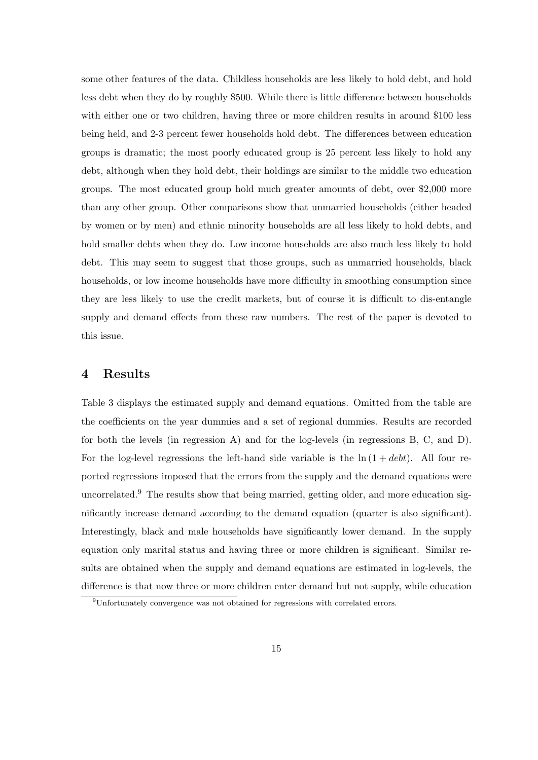some other features of the data. Childless households are less likely to hold debt, and hold less debt when they do by roughly \$500. While there is little difference between households with either one or two children, having three or more children results in around \$100 less being held, and 2-3 percent fewer households hold debt. The differences between education groups is dramatic; the most poorly educated group is 25 percent less likely to hold any debt, although when they hold debt, their holdings are similar to the middle two education groups. The most educated group hold much greater amounts of debt, over \$2,000 more than any other group. Other comparisons show that unmarried households (either headed by women or by men) and ethnic minority households are all less likely to hold debts, and hold smaller debts when they do. Low income households are also much less likely to hold debt. This may seem to suggest that those groups, such as unmarried households, black households, or low income households have more difficulty in smoothing consumption since they are less likely to use the credit markets, but of course it is difficult to dis-entangle supply and demand effects from these raw numbers. The rest of the paper is devoted to this issue.

### 4 Results

Table 3 displays the estimated supply and demand equations. Omitted from the table are the coefficients on the year dummies and a set of regional dummies. Results are recorded for both the levels (in regression A) and for the log-levels (in regressions B, C, and D). For the log-level regressions the left-hand side variable is the  $\ln(1 + debt)$ . All four reported regressions imposed that the errors from the supply and the demand equations were uncorrelated.<sup>9</sup> The results show that being married, getting older, and more education significantly increase demand according to the demand equation (quarter is also significant). Interestingly, black and male households have significantly lower demand. In the supply equation only marital status and having three or more children is significant. Similar results are obtained when the supply and demand equations are estimated in log-levels, the difference is that now three or more children enter demand but not supply, while education

<sup>9</sup>Unfortunately convergence was not obtained for regressions with correlated errors.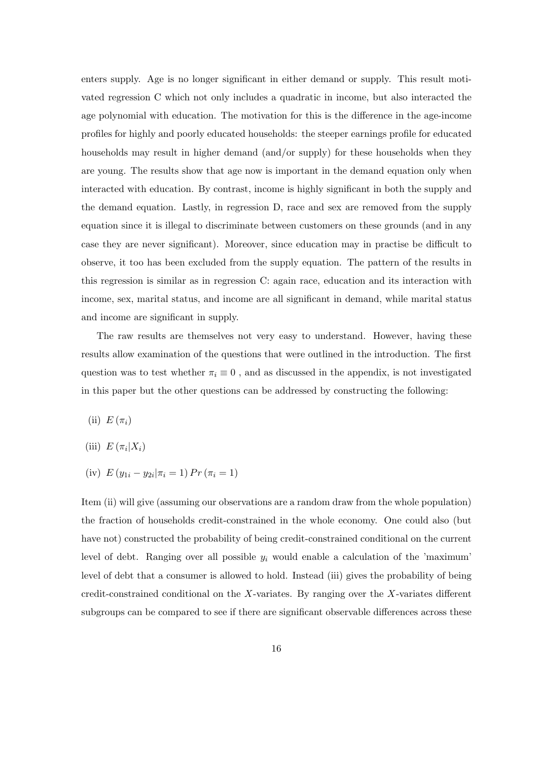enters supply. Age is no longer significant in either demand or supply. This result motivated regression C which not only includes a quadratic in income, but also interacted the age polynomial with education. The motivation for this is the difference in the age-income profiles for highly and poorly educated households: the steeper earnings profile for educated households may result in higher demand (and/or supply) for these households when they are young. The results show that age now is important in the demand equation only when interacted with education. By contrast, income is highly significant in both the supply and the demand equation. Lastly, in regression D, race and sex are removed from the supply equation since it is illegal to discriminate between customers on these grounds (and in any case they are never significant). Moreover, since education may in practise be difficult to observe, it too has been excluded from the supply equation. The pattern of the results in this regression is similar as in regression C: again race, education and its interaction with income, sex, marital status, and income are all significant in demand, while marital status and income are significant in supply.

The raw results are themselves not very easy to understand. However, having these results allow examination of the questions that were outlined in the introduction. The first question was to test whether  $\pi_i \equiv 0$ , and as discussed in the appendix, is not investigated in this paper but the other questions can be addressed by constructing the following:

(ii)  $E(\pi_i)$ 

- (iii)  $E(\pi_i|X_i)$
- (iv)  $E(y_{1i} y_{2i} | \pi_i = 1) Pr(\pi_i = 1)$

Item (ii) will give (assuming our observations are a random draw from the whole population) the fraction of households credit-constrained in the whole economy. One could also (but have not) constructed the probability of being credit-constrained conditional on the current level of debt. Ranging over all possible  $y_i$  would enable a calculation of the 'maximum' level of debt that a consumer is allowed to hold. Instead (iii) gives the probability of being credit-constrained conditional on the X-variates. By ranging over the X-variates different subgroups can be compared to see if there are significant observable differences across these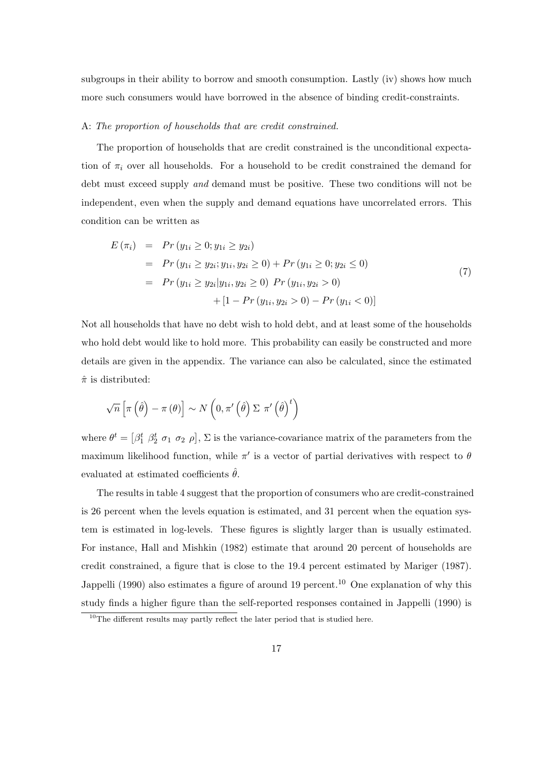subgroups in their ability to borrow and smooth consumption. Lastly (iv) shows how much more such consumers would have borrowed in the absence of binding credit-constraints.

#### A: The proportion of households that are credit constrained.

The proportion of households that are credit constrained is the unconditional expectation of  $\pi_i$  over all households. For a household to be credit constrained the demand for debt must exceed supply and demand must be positive. These two conditions will not be independent, even when the supply and demand equations have uncorrelated errors. This condition can be written as

$$
E(\pi_i) = Pr(y_{1i} \ge 0; y_{1i} \ge y_{2i})
$$
  
= Pr(y\_{1i} \ge y\_{2i}; y\_{1i}, y\_{2i} \ge 0) + Pr(y\_{1i} \ge 0; y\_{2i} \le 0)  
= Pr(y\_{1i} \ge y\_{2i}|y\_{1i}, y\_{2i} \ge 0) Pr(y\_{1i}, y\_{2i} > 0)  
+ [1 - Pr(y\_{1i}, y\_{2i} > 0) - Pr(y\_{1i} < 0)] (7)

Not all households that have no debt wish to hold debt, and at least some of the households who hold debt would like to hold more. This probability can easily be constructed and more details are given in the appendix. The variance can also be calculated, since the estimated  $\hat{\pi}$  is distributed:

$$
\sqrt{n}\left[\pi\left(\hat{\theta}\right)-\pi\left(\theta\right)\right]\sim N\left(0,\pi'\left(\hat{\theta}\right)\Sigma\pi'\left(\hat{\theta}\right)^{t}\right)
$$

where  $\theta^t = \left[\beta_1^t \ \beta_2^t \ \sigma_1 \ \sigma_2 \ \rho\right], \ \Sigma$  is the variance-covariance matrix of the parameters from the maximum likelihood function, while  $\pi'$  is a vector of partial derivatives with respect to  $\theta$ evaluated at estimated coefficients  $\hat{\theta}$ .

The results in table 4 suggest that the proportion of consumers who are credit-constrained is 26 percent when the levels equation is estimated, and 31 percent when the equation system is estimated in log-levels. These figures is slightly larger than is usually estimated. For instance, Hall and Mishkin (1982) estimate that around 20 percent of households are credit constrained, a figure that is close to the 19.4 percent estimated by Mariger (1987). Jappelli (1990) also estimates a figure of around 19 percent.<sup>10</sup> One explanation of why this study finds a higher figure than the self-reported responses contained in Jappelli (1990) is

<sup>&</sup>lt;sup>10</sup>The different results may partly reflect the later period that is studied here.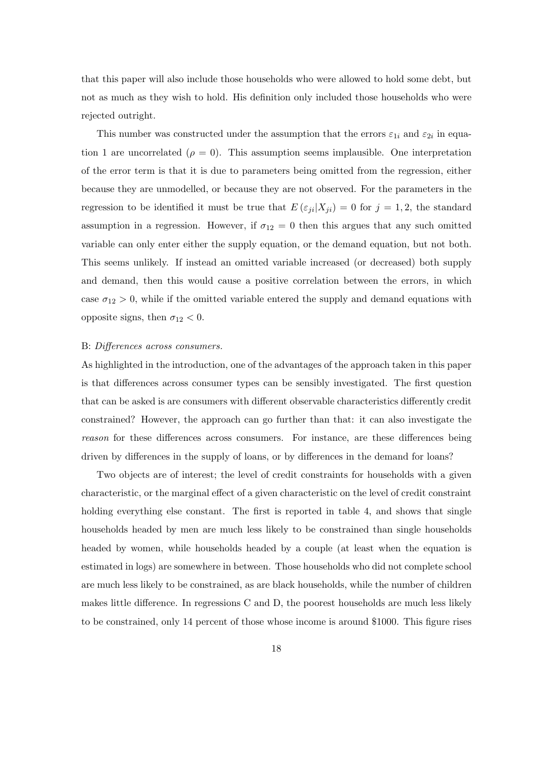that this paper will also include those households who were allowed to hold some debt, but not as much as they wish to hold. His definition only included those households who were rejected outright.

This number was constructed under the assumption that the errors  $\varepsilon_{1i}$  and  $\varepsilon_{2i}$  in equation 1 are uncorrelated ( $\rho = 0$ ). This assumption seems implausible. One interpretation of the error term is that it is due to parameters being omitted from the regression, either because they are unmodelled, or because they are not observed. For the parameters in the regression to be identified it must be true that  $E(\epsilon_{ji}|X_{ji}) = 0$  for  $j = 1, 2$ , the standard assumption in a regression. However, if  $\sigma_{12} = 0$  then this argues that any such omitted variable can only enter either the supply equation, or the demand equation, but not both. This seems unlikely. If instead an omitted variable increased (or decreased) both supply and demand, then this would cause a positive correlation between the errors, in which case  $\sigma_{12} > 0$ , while if the omitted variable entered the supply and demand equations with opposite signs, then  $\sigma_{12} < 0$ .

#### B: Differences across consumers.

As highlighted in the introduction, one of the advantages of the approach taken in this paper is that differences across consumer types can be sensibly investigated. The first question that can be asked is are consumers with different observable characteristics differently credit constrained? However, the approach can go further than that: it can also investigate the reason for these differences across consumers. For instance, are these differences being driven by differences in the supply of loans, or by differences in the demand for loans?

Two objects are of interest; the level of credit constraints for households with a given characteristic, or the marginal effect of a given characteristic on the level of credit constraint holding everything else constant. The first is reported in table 4, and shows that single households headed by men are much less likely to be constrained than single households headed by women, while households headed by a couple (at least when the equation is estimated in logs) are somewhere in between. Those households who did not complete school are much less likely to be constrained, as are black households, while the number of children makes little difference. In regressions C and D, the poorest households are much less likely to be constrained, only 14 percent of those whose income is around \$1000. This figure rises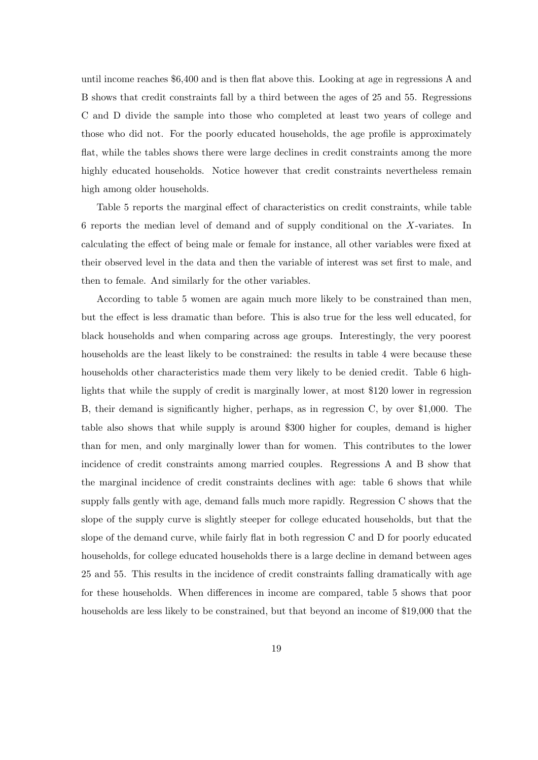until income reaches \$6,400 and is then flat above this. Looking at age in regressions A and B shows that credit constraints fall by a third between the ages of 25 and 55. Regressions C and D divide the sample into those who completed at least two years of college and those who did not. For the poorly educated households, the age profile is approximately flat, while the tables shows there were large declines in credit constraints among the more highly educated households. Notice however that credit constraints nevertheless remain high among older households.

Table 5 reports the marginal effect of characteristics on credit constraints, while table 6 reports the median level of demand and of supply conditional on the X-variates. In calculating the effect of being male or female for instance, all other variables were fixed at their observed level in the data and then the variable of interest was set first to male, and then to female. And similarly for the other variables.

According to table 5 women are again much more likely to be constrained than men, but the effect is less dramatic than before. This is also true for the less well educated, for black households and when comparing across age groups. Interestingly, the very poorest households are the least likely to be constrained: the results in table 4 were because these households other characteristics made them very likely to be denied credit. Table 6 highlights that while the supply of credit is marginally lower, at most \$120 lower in regression B, their demand is significantly higher, perhaps, as in regression C, by over \$1,000. The table also shows that while supply is around \$300 higher for couples, demand is higher than for men, and only marginally lower than for women. This contributes to the lower incidence of credit constraints among married couples. Regressions A and B show that the marginal incidence of credit constraints declines with age: table 6 shows that while supply falls gently with age, demand falls much more rapidly. Regression C shows that the slope of the supply curve is slightly steeper for college educated households, but that the slope of the demand curve, while fairly flat in both regression C and D for poorly educated households, for college educated households there is a large decline in demand between ages 25 and 55. This results in the incidence of credit constraints falling dramatically with age for these households. When differences in income are compared, table 5 shows that poor households are less likely to be constrained, but that beyond an income of \$19,000 that the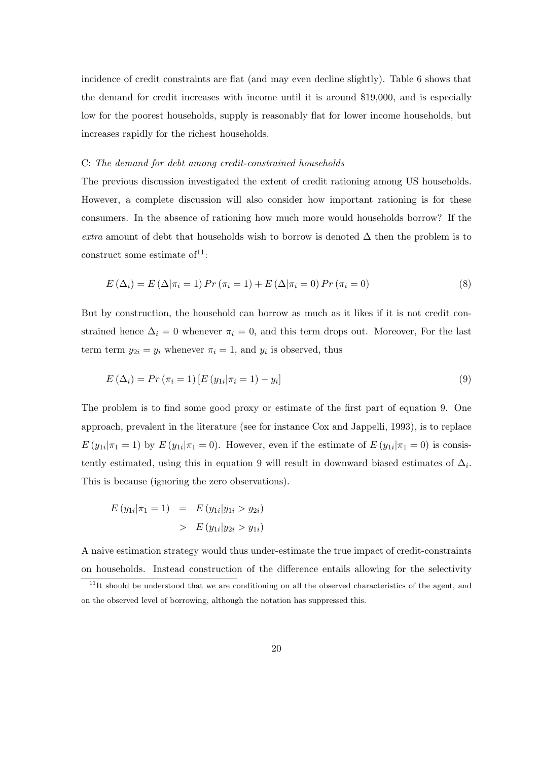incidence of credit constraints are flat (and may even decline slightly). Table 6 shows that the demand for credit increases with income until it is around \$19,000, and is especially low for the poorest households, supply is reasonably flat for lower income households, but increases rapidly for the richest households.

#### C: The demand for debt among credit-constrained households

The previous discussion investigated the extent of credit rationing among US households. However, a complete discussion will also consider how important rationing is for these consumers. In the absence of rationing how much more would households borrow? If the extra amount of debt that households wish to borrow is denoted  $\Delta$  then the problem is to construct some estimate of  $1$ :

$$
E(\Delta_i) = E(\Delta|\pi_i = 1) Pr(\pi_i = 1) + E(\Delta|\pi_i = 0) Pr(\pi_i = 0)
$$
\n(8)

But by construction, the household can borrow as much as it likes if it is not credit constrained hence  $\Delta_i = 0$  whenever  $\pi_i = 0$ , and this term drops out. Moreover, For the last term term  $y_{2i} = y_i$  whenever  $\pi_i = 1$ , and  $y_i$  is observed, thus

$$
E(\Delta_i) = Pr(\pi_i = 1) [E(y_{1i} | \pi_i = 1) - y_i]
$$
\n(9)

The problem is to find some good proxy or estimate of the first part of equation 9. One approach, prevalent in the literature (see for instance Cox and Jappelli, 1993), is to replace  $E(y_{1i}|\pi_1=1)$  by  $E(y_{1i}|\pi_1=0)$ . However, even if the estimate of  $E(y_{1i}|\pi_1=0)$  is consistently estimated, using this in equation 9 will result in downward biased estimates of  $\Delta_i$ . This is because (ignoring the zero observations).

$$
E(y_{1i}|\pi_1 = 1) = E(y_{1i}|y_{1i} > y_{2i})
$$
  
> 
$$
E(y_{1i}|y_{2i} > y_{1i})
$$

A naive estimation strategy would thus under-estimate the true impact of credit-constraints on households. Instead construction of the difference entails allowing for the selectivity

 $11$ It should be understood that we are conditioning on all the observed characteristics of the agent, and on the observed level of borrowing, although the notation has suppressed this.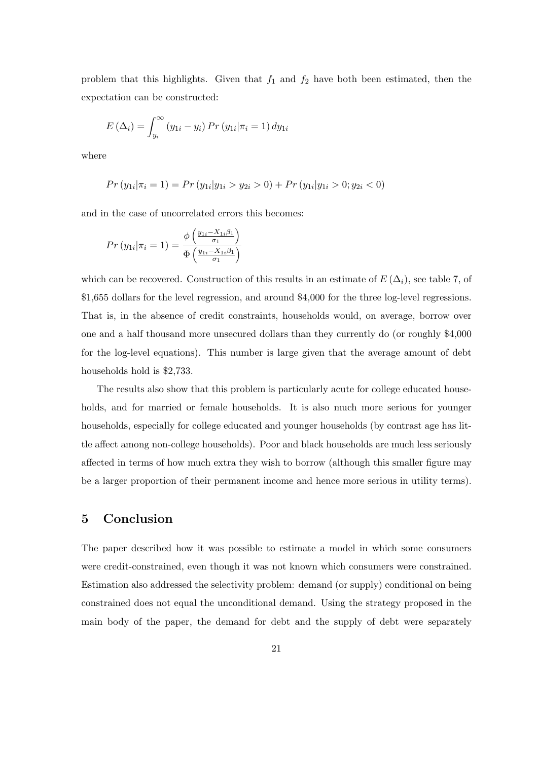problem that this highlights. Given that  $f_1$  and  $f_2$  have both been estimated, then the expectation can be constructed:

$$
E(\Delta_i) = \int_{y_i}^{\infty} (y_{1i} - y_i) \Pr(y_{1i} | \pi_i = 1) \, dy_{1i}
$$

where

$$
Pr(y_{1i}|\pi_i=1) = Pr(y_{1i}|y_{1i} > y_{2i} > 0) + Pr(y_{1i}|y_{1i} > 0; y_{2i} < 0)
$$

and in the case of uncorrelated errors this becomes:

$$
Pr(y_{1i}|\pi_i=1) = \frac{\phi\left(\frac{y_{1i}-X_{1i}\beta_1}{\sigma_1}\right)}{\Phi\left(\frac{y_{1i}-X_{1i}\beta_1}{\sigma_1}\right)}
$$

which can be recovered. Construction of this results in an estimate of  $E(\Delta_i)$ , see table 7, of \$1,655 dollars for the level regression, and around \$4,000 for the three log-level regressions. That is, in the absence of credit constraints, households would, on average, borrow over one and a half thousand more unsecured dollars than they currently do (or roughly \$4,000 for the log-level equations). This number is large given that the average amount of debt households hold is \$2,733.

The results also show that this problem is particularly acute for college educated households, and for married or female households. It is also much more serious for younger households, especially for college educated and younger households (by contrast age has little affect among non-college households). Poor and black households are much less seriously affected in terms of how much extra they wish to borrow (although this smaller figure may be a larger proportion of their permanent income and hence more serious in utility terms).

## 5 Conclusion

The paper described how it was possible to estimate a model in which some consumers were credit-constrained, even though it was not known which consumers were constrained. Estimation also addressed the selectivity problem: demand (or supply) conditional on being constrained does not equal the unconditional demand. Using the strategy proposed in the main body of the paper, the demand for debt and the supply of debt were separately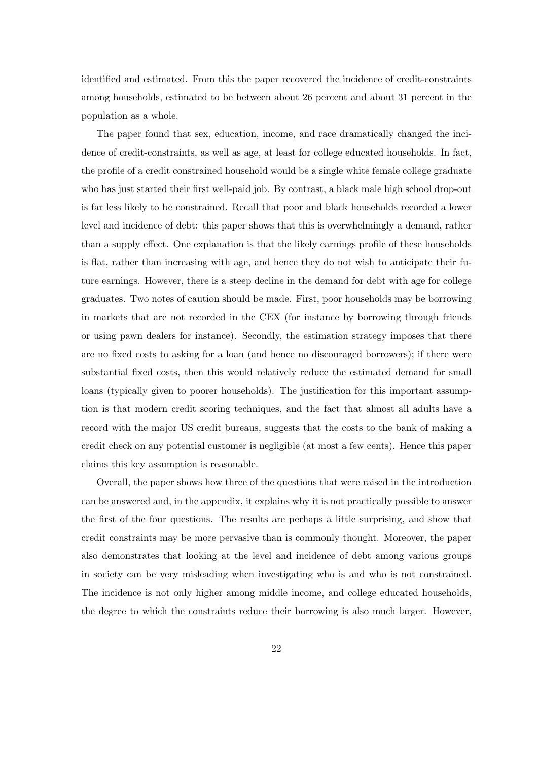identified and estimated. From this the paper recovered the incidence of credit-constraints among households, estimated to be between about 26 percent and about 31 percent in the population as a whole.

The paper found that sex, education, income, and race dramatically changed the incidence of credit-constraints, as well as age, at least for college educated households. In fact, the profile of a credit constrained household would be a single white female college graduate who has just started their first well-paid job. By contrast, a black male high school drop-out is far less likely to be constrained. Recall that poor and black households recorded a lower level and incidence of debt: this paper shows that this is overwhelmingly a demand, rather than a supply effect. One explanation is that the likely earnings profile of these households is flat, rather than increasing with age, and hence they do not wish to anticipate their future earnings. However, there is a steep decline in the demand for debt with age for college graduates. Two notes of caution should be made. First, poor households may be borrowing in markets that are not recorded in the CEX (for instance by borrowing through friends or using pawn dealers for instance). Secondly, the estimation strategy imposes that there are no fixed costs to asking for a loan (and hence no discouraged borrowers); if there were substantial fixed costs, then this would relatively reduce the estimated demand for small loans (typically given to poorer households). The justification for this important assumption is that modern credit scoring techniques, and the fact that almost all adults have a record with the major US credit bureaus, suggests that the costs to the bank of making a credit check on any potential customer is negligible (at most a few cents). Hence this paper claims this key assumption is reasonable.

Overall, the paper shows how three of the questions that were raised in the introduction can be answered and, in the appendix, it explains why it is not practically possible to answer the first of the four questions. The results are perhaps a little surprising, and show that credit constraints may be more pervasive than is commonly thought. Moreover, the paper also demonstrates that looking at the level and incidence of debt among various groups in society can be very misleading when investigating who is and who is not constrained. The incidence is not only higher among middle income, and college educated households, the degree to which the constraints reduce their borrowing is also much larger. However,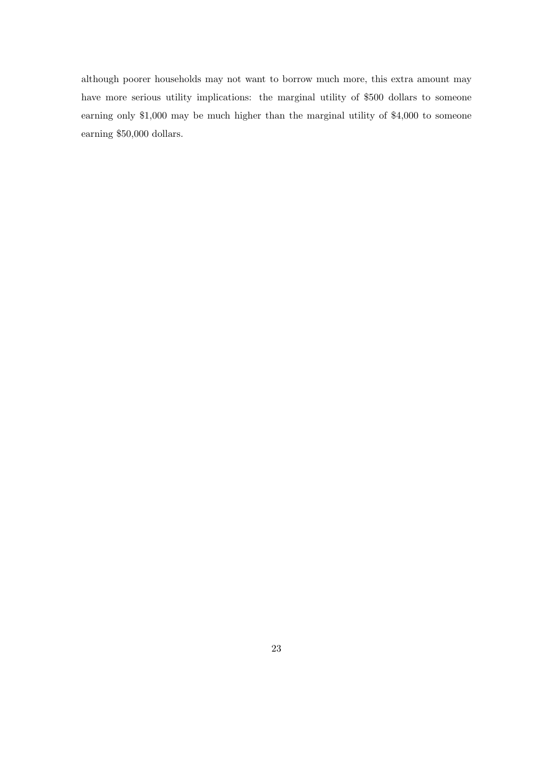although poorer households may not want to borrow much more, this extra amount may have more serious utility implications: the marginal utility of \$500 dollars to someone earning only \$1,000 may be much higher than the marginal utility of \$4,000 to someone earning \$50,000 dollars.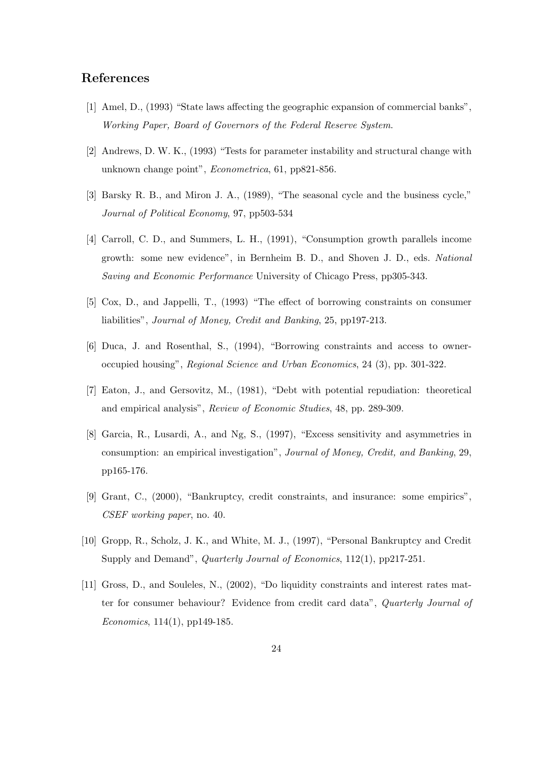### References

- [1] Amel, D., (1993) "State laws affecting the geographic expansion of commercial banks", Working Paper, Board of Governors of the Federal Reserve System.
- [2] Andrews, D. W. K., (1993) "Tests for parameter instability and structural change with unknown change point", Econometrica, 61, pp821-856.
- [3] Barsky R. B., and Miron J. A., (1989), "The seasonal cycle and the business cycle," Journal of Political Economy, 97, pp503-534
- [4] Carroll, C. D., and Summers, L. H., (1991), "Consumption growth parallels income growth: some new evidence", in Bernheim B. D., and Shoven J. D., eds. National Saving and Economic Performance University of Chicago Press, pp305-343.
- [5] Cox, D., and Jappelli, T., (1993) "The effect of borrowing constraints on consumer liabilities", Journal of Money, Credit and Banking, 25, pp197-213.
- [6] Duca, J. and Rosenthal, S., (1994), "Borrowing constraints and access to owneroccupied housing", Regional Science and Urban Economics, 24 (3), pp. 301-322.
- [7] Eaton, J., and Gersovitz, M., (1981), "Debt with potential repudiation: theoretical and empirical analysis", Review of Economic Studies, 48, pp. 289-309.
- [8] Garcia, R., Lusardi, A., and Ng, S., (1997), "Excess sensitivity and asymmetries in consumption: an empirical investigation", Journal of Money, Credit, and Banking, 29, pp165-176.
- [9] Grant, C., (2000), "Bankruptcy, credit constraints, and insurance: some empirics", CSEF working paper, no. 40.
- [10] Gropp, R., Scholz, J. K., and White, M. J., (1997), "Personal Bankruptcy and Credit Supply and Demand", *Quarterly Journal of Economics*, 112(1), pp217-251.
- [11] Gross, D., and Souleles, N., (2002), "Do liquidity constraints and interest rates matter for consumer behaviour? Evidence from credit card data", Quarterly Journal of Economics, 114(1), pp149-185.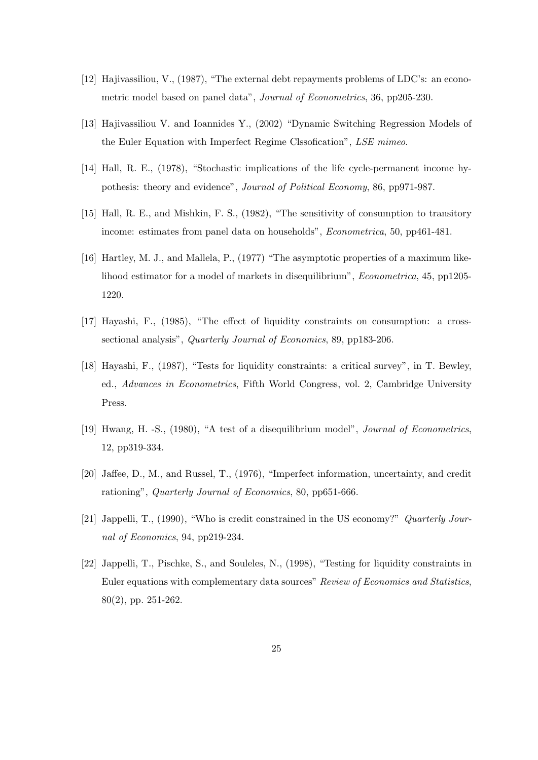- [12] Hajivassiliou, V., (1987), "The external debt repayments problems of LDC's: an econometric model based on panel data", Journal of Econometrics, 36, pp205-230.
- [13] Hajivassiliou V. and Ioannides Y., (2002) "Dynamic Switching Regression Models of the Euler Equation with Imperfect Regime Clssofication", LSE mimeo.
- [14] Hall, R. E., (1978), "Stochastic implications of the life cycle-permanent income hypothesis: theory and evidence", Journal of Political Economy, 86, pp971-987.
- [15] Hall, R. E., and Mishkin, F. S., (1982), "The sensitivity of consumption to transitory income: estimates from panel data on households", Econometrica, 50, pp461-481.
- [16] Hartley, M. J., and Mallela, P., (1977) "The asymptotic properties of a maximum likelihood estimator for a model of markets in disequilibrium", Econometrica, 45, pp1205- 1220.
- [17] Hayashi, F., (1985), "The effect of liquidity constraints on consumption: a crosssectional analysis", Quarterly Journal of Economics, 89, pp183-206.
- [18] Hayashi, F., (1987), "Tests for liquidity constraints: a critical survey", in T. Bewley, ed., Advances in Econometrics, Fifth World Congress, vol. 2, Cambridge University Press.
- [19] Hwang, H. -S., (1980), "A test of a disequilibrium model", Journal of Econometrics, 12, pp319-334.
- [20] Jaffee, D., M., and Russel, T., (1976), "Imperfect information, uncertainty, and credit rationing", Quarterly Journal of Economics, 80, pp651-666.
- [21] Jappelli, T., (1990), "Who is credit constrained in the US economy?" Quarterly Journal of Economics, 94, pp219-234.
- [22] Jappelli, T., Pischke, S., and Souleles, N., (1998), "Testing for liquidity constraints in Euler equations with complementary data sources" Review of Economics and Statistics, 80(2), pp. 251-262.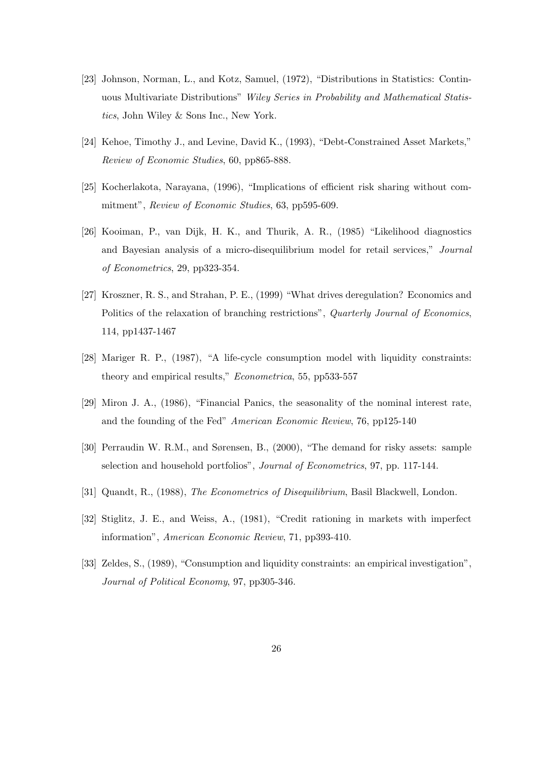- [23] Johnson, Norman, L., and Kotz, Samuel, (1972), "Distributions in Statistics: Continuous Multivariate Distributions" Wiley Series in Probability and Mathematical Statistics, John Wiley & Sons Inc., New York.
- [24] Kehoe, Timothy J., and Levine, David K., (1993), "Debt-Constrained Asset Markets," Review of Economic Studies, 60, pp865-888.
- [25] Kocherlakota, Narayana, (1996), "Implications of efficient risk sharing without commitment", Review of Economic Studies, 63, pp595-609.
- [26] Kooiman, P., van Dijk, H. K., and Thurik, A. R., (1985) "Likelihood diagnostics and Bayesian analysis of a micro-disequilibrium model for retail services," Journal of Econometrics, 29, pp323-354.
- [27] Kroszner, R. S., and Strahan, P. E., (1999) "What drives deregulation? Economics and Politics of the relaxation of branching restrictions", Quarterly Journal of Economics, 114, pp1437-1467
- [28] Mariger R. P., (1987), "A life-cycle consumption model with liquidity constraints: theory and empirical results," Econometrica, 55, pp533-557
- [29] Miron J. A., (1986), "Financial Panics, the seasonality of the nominal interest rate, and the founding of the Fed" American Economic Review, 76, pp125-140
- [30] Perraudin W. R.M., and Sørensen, B., (2000), "The demand for risky assets: sample selection and household portfolios", Journal of Econometrics, 97, pp. 117-144.
- [31] Quandt, R., (1988), The Econometrics of Disequilibrium, Basil Blackwell, London.
- [32] Stiglitz, J. E., and Weiss, A., (1981), "Credit rationing in markets with imperfect information", American Economic Review, 71, pp393-410.
- [33] Zeldes, S., (1989), "Consumption and liquidity constraints: an empirical investigation", Journal of Political Economy, 97, pp305-346.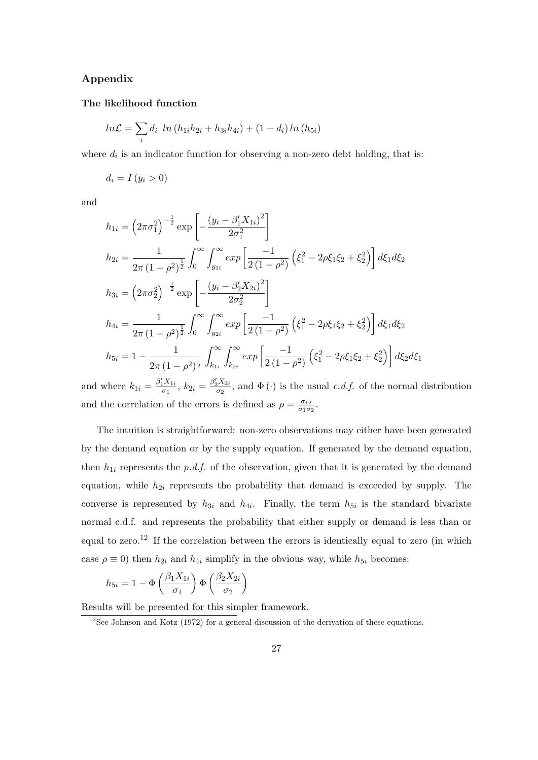### Appendix

#### The likelihood function

$$
ln \mathcal{L} = \sum_{i} d_i \ ln (h_{1i}h_{2i} + h_{3i}h_{4i}) + (1 - d_i) \ln (h_{5i})
$$

where  $d_i$  is an indicator function for observing a non-zero debt holding, that is:

$$
d_i = I(y_i > 0)
$$

and

$$
h_{1i} = \left(2\pi\sigma_1^2\right)^{-\frac{1}{2}} \exp\left[-\frac{(y_i - \beta_1' X_{1i})^2}{2\sigma_1^2}\right]
$$
  
\n
$$
h_{2i} = \frac{1}{2\pi (1 - \rho^2)^{\frac{1}{2}}} \int_0^\infty \int_{y_{1i}}^\infty exp\left[\frac{-1}{2(1 - \rho^2)} \left(\xi_1^2 - 2\rho\xi_1\xi_2 + \xi_2^2\right)\right] d\xi_1 d\xi_2
$$
  
\n
$$
h_{3i} = \left(2\pi\sigma_2^2\right)^{-\frac{1}{2}} \exp\left[-\frac{(y_i - \beta_2' X_{2i})^2}{2\sigma_2^2}\right]
$$
  
\n
$$
h_{4i} = \frac{1}{2\pi (1 - \rho^2)^{\frac{1}{2}}} \int_0^\infty \int_{y_{2i}}^\infty exp\left[\frac{-1}{2(1 - \rho^2)} \left(\xi_1^2 - 2\rho\xi_1\xi_2 + \xi_2^2\right)\right] d\xi_1 d\xi_2
$$
  
\n
$$
h_{5i} = 1 - \frac{1}{2\pi (1 - \rho^2)^{\frac{1}{2}}} \int_{k_{1i}}^\infty \int_{k_{2i}}^\infty exp\left[\frac{-1}{2(1 - \rho^2)} \left(\xi_1^2 - 2\rho\xi_1\xi_2 + \xi_2^2\right)\right] d\xi_2 d\xi_1
$$
  
\n
$$
e^{y}X = e^{y}X
$$

and where  $k_{1i} = \frac{\beta_1' X_{1i}}{\sigma_1}$  $\frac{d_1 X_{1i}}{\sigma_1}, k_{2i} = \frac{\beta_2 X_{2i}}{\sigma_2}$  $\frac{\partial^2 \Delta 2i}{\partial q}$ , and  $\Phi(\cdot)$  is the usual *c.d.f.* of the normal distribution and the correlation of the errors is defined as  $\rho = \frac{\sigma_{12}}{\sigma_{12}}$  $\frac{\sigma_{12}}{\sigma_1 \sigma_2}$ .

The intuition is straightforward: non-zero observations may either have been generated by the demand equation or by the supply equation. If generated by the demand equation, then  $h_{1i}$  represents the p.d.f. of the observation, given that it is generated by the demand equation, while  $h_{2i}$  represents the probability that demand is exceeded by supply. The converse is represented by  $h_{3i}$  and  $h_{4i}$ . Finally, the term  $h_{5i}$  is the standard bivariate normal c.d.f. and represents the probability that either supply or demand is less than or equal to zero.<sup>12</sup> If the correlation between the errors is identically equal to zero (in which case  $\rho \equiv 0$ ) then  $h_{2i}$  and  $h_{4i}$  simplify in the obvious way, while  $h_{5i}$  becomes:

$$
h_{5i} = 1 - \Phi\left(\frac{\beta_1 X_{1i}}{\sigma_1}\right) \Phi\left(\frac{\beta_2 X_{2i}}{\sigma_2}\right)
$$

Results will be presented for this simpler framework.

 $12$ See Johnson and Kotz (1972) for a general discussion of the derivation of these equations.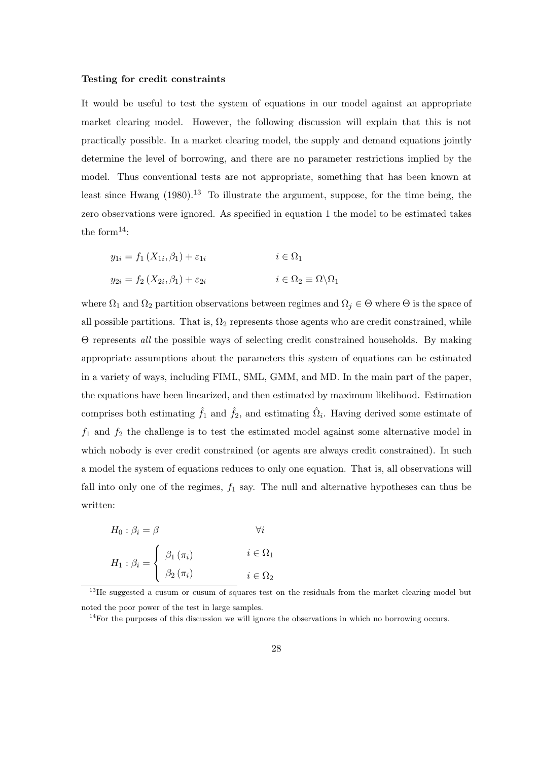#### Testing for credit constraints

It would be useful to test the system of equations in our model against an appropriate market clearing model. However, the following discussion will explain that this is not practically possible. In a market clearing model, the supply and demand equations jointly determine the level of borrowing, and there are no parameter restrictions implied by the model. Thus conventional tests are not appropriate, something that has been known at least since Hwang  $(1980)^{13}$  To illustrate the argument, suppose, for the time being, the zero observations were ignored. As specified in equation 1 the model to be estimated takes the form $^{14}$ :

$$
y_{1i} = f_1(X_{1i}, \beta_1) + \varepsilon_{1i} \qquad i \in \Omega_1
$$
  

$$
y_{2i} = f_2(X_{2i}, \beta_1) + \varepsilon_{2i} \qquad i \in \Omega_2 \equiv \Omega \backslash \Omega_1
$$

where  $\Omega_1$  and  $\Omega_2$  partition observations between regimes and  $\Omega_j \in \Theta$  where  $\Theta$  is the space of all possible partitions. That is,  $\Omega_2$  represents those agents who are credit constrained, while Θ represents all the possible ways of selecting credit constrained households. By making appropriate assumptions about the parameters this system of equations can be estimated in a variety of ways, including FIML, SML, GMM, and MD. In the main part of the paper, the equations have been linearized, and then estimated by maximum likelihood. Estimation comprises both estimating  $\hat{f}_1$  and  $\hat{f}_2$ , and estimating  $\hat{\Omega}_i$ . Having derived some estimate of  $f_1$  and  $f_2$  the challenge is to test the estimated model against some alternative model in which nobody is ever credit constrained (or agents are always credit constrained). In such a model the system of equations reduces to only one equation. That is, all observations will fall into only one of the regimes,  $f_1$  say. The null and alternative hypotheses can thus be written:

$$
H_0: \beta_i = \beta \qquad \forall i
$$
  

$$
H_1: \beta_i = \begin{cases} \beta_1(\pi_i) & i \in \Omega_1 \\ \beta_2(\pi_i) & i \in \Omega_2 \end{cases}
$$

<sup>13</sup>He suggested a cusum or cusum of squares test on the residuals from the market clearing model but noted the poor power of the test in large samples.

 $14$ For the purposes of this discussion we will ignore the observations in which no borrowing occurs.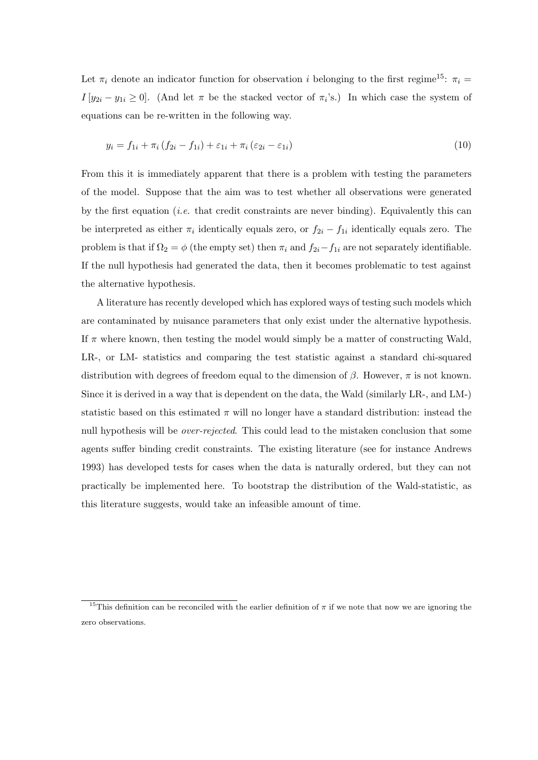Let  $\pi_i$  denote an indicator function for observation i belonging to the first regime<sup>15</sup>:  $\pi_i$  =  $I[y_{2i} - y_{1i} \geq 0]$ . (And let  $\pi$  be the stacked vector of  $\pi_i$ 's.) In which case the system of equations can be re-written in the following way.

$$
y_i = f_{1i} + \pi_i (f_{2i} - f_{1i}) + \varepsilon_{1i} + \pi_i (\varepsilon_{2i} - \varepsilon_{1i})
$$
\n(10)

From this it is immediately apparent that there is a problem with testing the parameters of the model. Suppose that the aim was to test whether all observations were generated by the first equation *(i.e.* that credit constraints are never binding). Equivalently this can be interpreted as either  $\pi_i$  identically equals zero, or  $f_{2i} - f_{1i}$  identically equals zero. The problem is that if  $\Omega_2 = \phi$  (the empty set) then  $\pi_i$  and  $f_{2i}-f_{1i}$  are not separately identifiable. If the null hypothesis had generated the data, then it becomes problematic to test against the alternative hypothesis.

A literature has recently developed which has explored ways of testing such models which are contaminated by nuisance parameters that only exist under the alternative hypothesis. If  $\pi$  where known, then testing the model would simply be a matter of constructing Wald, LR-, or LM- statistics and comparing the test statistic against a standard chi-squared distribution with degrees of freedom equal to the dimension of  $\beta$ . However,  $\pi$  is not known. Since it is derived in a way that is dependent on the data, the Wald (similarly LR-, and LM-) statistic based on this estimated  $\pi$  will no longer have a standard distribution: instead the null hypothesis will be *over-rejected*. This could lead to the mistaken conclusion that some agents suffer binding credit constraints. The existing literature (see for instance Andrews 1993) has developed tests for cases when the data is naturally ordered, but they can not practically be implemented here. To bootstrap the distribution of the Wald-statistic, as this literature suggests, would take an infeasible amount of time.

<sup>&</sup>lt;sup>15</sup>This definition can be reconciled with the earlier definition of  $\pi$  if we note that now we are ignoring the zero observations.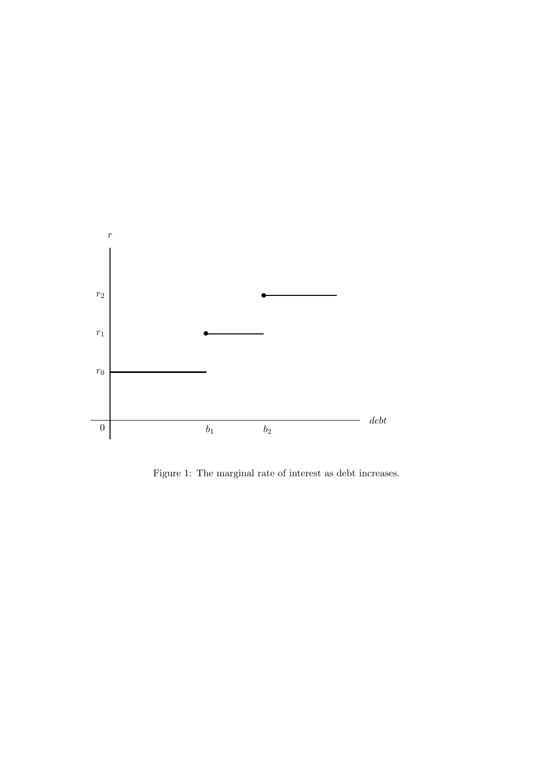

Figure 1: The marginal rate of interest as debt increases.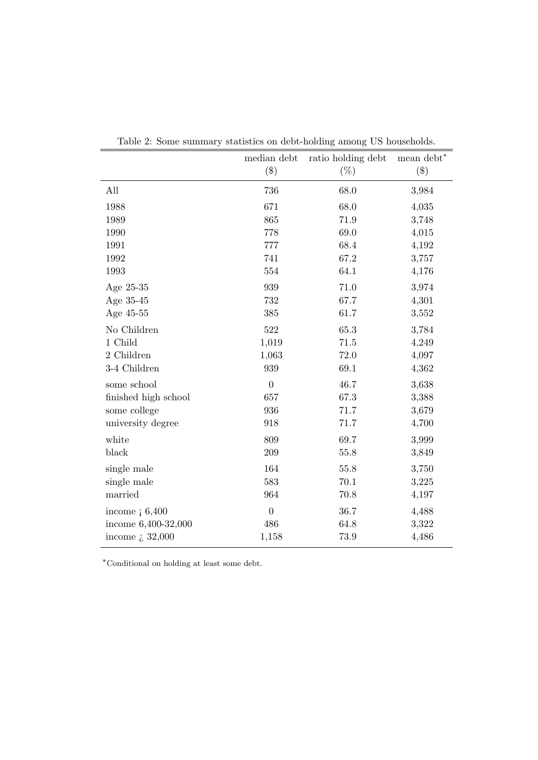|                            | median debt    | ratio holding debt | mean debt <sup>*</sup> |
|----------------------------|----------------|--------------------|------------------------|
|                            | $(\$\)$        | $(\%)$             | $(\$\)$                |
| All                        | 736            | 68.0               | 3,984                  |
| 1988                       | 671            | 68.0               | 4,035                  |
| 1989                       | 865            | 71.9               | 3,748                  |
| 1990                       | 778            | 69.0               | 4,015                  |
| 1991                       | 777            | 68.4               | 4,192                  |
| 1992                       | 741            | 67.2               | 3,757                  |
| 1993                       | 554            | 64.1               | 4,176                  |
| Age 25-35                  | 939            | 71.0               | 3,974                  |
| Age 35-45                  | 732            | 67.7               | 4,301                  |
| Age 45-55                  | 385            | 61.7               | 3,552                  |
| No Children                | 522            | 65.3               | 3,784                  |
| 1 Child                    | 1,019          | 71.5               | 4,249                  |
| 2 Children                 | 1,063          | 72.0               | 4,097                  |
| 3-4 Children               | 939            | 69.1               | 4,362                  |
| some school                | $\overline{0}$ | 46.7               | 3,638                  |
| finished high school       | 657            | 67.3               | 3,388                  |
| some college               | 936            | 71.7               | 3,679                  |
| university degree          | 918            | 71.7               | 4,700                  |
| white                      | 809            | 69.7               | 3,999                  |
| black                      | $209\,$        | 55.8               | 3,849                  |
| single male                | 164            | 55.8               | 3,750                  |
| single male                | 583            | 70.1               | 3,225                  |
| married                    | 964            | 70.8               | 4,197                  |
| income $\frac{1}{6}$ 6,400 | $\overline{0}$ | 36.7               | 4,488                  |
| income 6,400-32,000        | 486            | 64.8               | 3,322                  |
| income $\zeta$ 32,000      | 1,158          | 73.9               | 4,486                  |

Table 2: Some summary statistics on debt-holding among US households.

<sup>∗</sup>Conditional on holding at least some debt.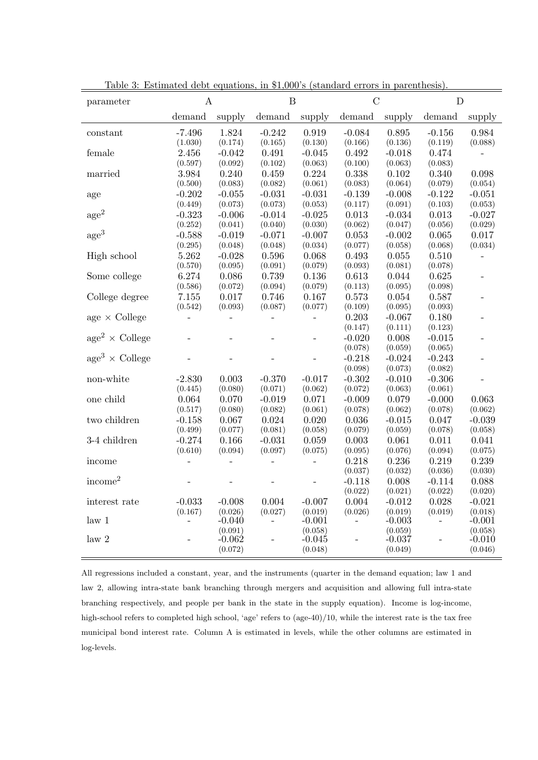| parameter             | $\mathbf{A}$        |                          | $\overline{B}$      |                     | $\overline{C}$      |                     | $\mathbf D$         |                     |
|-----------------------|---------------------|--------------------------|---------------------|---------------------|---------------------|---------------------|---------------------|---------------------|
|                       | demand              | supply                   | demand              | supply              | demand              | supply              | demand              | supply              |
| constant              | $-7.496$<br>(1.030) | 1.824<br>(0.174)         | $-0.242$<br>(0.165) | 0.919<br>(0.130)    | $-0.084$<br>(0.166) | 0.895<br>(0.136)    | $-0.156$<br>(0.119) | 0.984<br>(0.088)    |
| female                | 2.456<br>(0.597)    | $-0.042$<br>(0.092)      | 0.491<br>(0.102)    | $-0.045$<br>(0.063) | 0.492<br>(0.100)    | $-0.018$<br>(0.063) | 0.474<br>(0.083)    |                     |
| married               | 3.984<br>(0.500)    | 0.240<br>(0.083)         | 0.459<br>(0.082)    | 0.224<br>(0.061)    | 0.338<br>(0.083)    | 0.102<br>(0.064)    | 0.340<br>(0.079)    | 0.098<br>(0.054)    |
| age                   | $-0.202$<br>(0.449) | $-0.055$<br>(0.073)      | $-0.031$<br>(0.073) | $-0.031$<br>(0.053) | $-0.139$<br>(0.117) | $-0.008$<br>(0.091) | $-0.122$<br>(0.103) | $-0.051$<br>(0.053) |
| $\rm age^2$           | $-0.323$<br>(0.252) | $-0.006$<br>(0.041)      | $-0.014$<br>(0.040) | $-0.025$<br>(0.030) | 0.013<br>(0.062)    | $-0.034$<br>(0.047) | 0.013<br>(0.056)    | $-0.027$<br>(0.029) |
| age <sup>3</sup>      | $-0.588$<br>(0.295) | $-0.019$<br>(0.048)      | $-0.071$<br>(0.048) | $-0.007$<br>(0.034) | 0.053<br>(0.077)    | $-0.002$<br>(0.058) | 0.065<br>(0.068)    | 0.017<br>(0.034)    |
| High school           | 5.262<br>(0.570)    | $-0.028$<br>(0.095)      | 0.596<br>(0.091)    | 0.068<br>(0.079)    | 0.493<br>(0.093)    | 0.055<br>(0.081)    | 0.510<br>(0.078)    |                     |
| Some college          | 6.274<br>(0.586)    | 0.086<br>(0.072)         | 0.739<br>(0.094)    | 0.136<br>(0.079)    | 0.613<br>(0.113)    | 0.044<br>(0.095)    | 0.625<br>(0.098)    |                     |
| College degree        | 7.155<br>(0.542)    | 0.017<br>(0.093)         | 0.746<br>(0.087)    | 0.167<br>(0.077)    | 0.573<br>(0.109)    | 0.054<br>(0.095)    | 0.587<br>(0.093)    | $\overline{a}$      |
| age $\times$ College  |                     | $\overline{\phantom{0}}$ |                     |                     | 0.203<br>(0.147)    | $-0.067$<br>(0.111) | 0.180<br>(0.123)    |                     |
| $age2 \times College$ |                     |                          |                     |                     | $-0.020$<br>(0.078) | 0.008<br>(0.059)    | $-0.015$<br>(0.065) |                     |
| $age3 \times College$ |                     |                          |                     | $\overline{a}$      | $-0.218$<br>(0.098) | $-0.024$<br>(0.073) | $-0.243$<br>(0.082) | $\overline{a}$      |
| non-white             | $-2.830$<br>(0.445) | 0.003<br>(0.080)         | $-0.370$<br>(0.071) | $-0.017$<br>(0.062) | $-0.302$<br>(0.072) | $-0.010$<br>(0.063) | $-0.306$<br>(0.061) |                     |
| one child             | 0.064<br>(0.517)    | 0.070<br>(0.080)         | $-0.019$<br>(0.082) | 0.071<br>(0.061)    | $-0.009$<br>(0.078) | 0.079<br>(0.062)    | $-0.000$<br>(0.078) | 0.063<br>(0.062)    |
| two children          | $-0.158$<br>(0.499) | 0.067<br>(0.077)         | 0.024<br>(0.081)    | 0.020<br>(0.058)    | 0.036<br>(0.079)    | $-0.015$<br>(0.059) | 0.047<br>(0.078)    | $-0.039$<br>(0.058) |
| 3-4 children          | $-0.274$<br>(0.610) | 0.166<br>(0.094)         | $-0.031$<br>(0.097) | 0.059<br>(0.075)    | 0.003<br>(0.095)    | 0.061<br>(0.076)    | 0.011<br>(0.094)    | 0.041<br>(0.075)    |
| income                |                     |                          |                     |                     | 0.218<br>(0.037)    | 0.236<br>(0.032)    | 0.219<br>(0.036)    | 0.239<br>(0.030)    |
| income <sup>2</sup>   |                     |                          |                     |                     | $-0.118$<br>(0.022) | 0.008<br>(0.021)    | $-0.114$<br>(0.022) | 0.088<br>(0.020)    |
| interest rate         | $-0.033$<br>(0.167) | $-0.008$<br>(0.026)      | 0.004<br>(0.027)    | $-0.007$<br>(0.019) | 0.004<br>(0.026)    | $-0.012$<br>(0.019) | 0.028<br>(0.019)    | $-0.021$<br>(0.018) |
| law <sub>1</sub>      |                     | $-0.040$<br>(0.091)      |                     | $-0.001$<br>(0.058) | $\overline{a}$      | $-0.003$<br>(0.059) |                     | $-0.001$<br>(0.058) |
| law <sub>2</sub>      |                     | $-0.062$<br>(0.072)      |                     | $-0.045$<br>(0.048) |                     | $-0.037$<br>(0.049) |                     | $-0.010$<br>(0.046) |

Table 3: Estimated debt equations, in \$1,000's (standard errors in parenthesis).

All regressions included a constant, year, and the instruments (quarter in the demand equation; law 1 and law 2, allowing intra-state bank branching through mergers and acquisition and allowing full intra-state branching respectively, and people per bank in the state in the supply equation). Income is log-income, high-school refers to completed high school, 'age' refers to (age-40)/10, while the interest rate is the tax free municipal bond interest rate. Column A is estimated in levels, while the other columns are estimated in log-levels.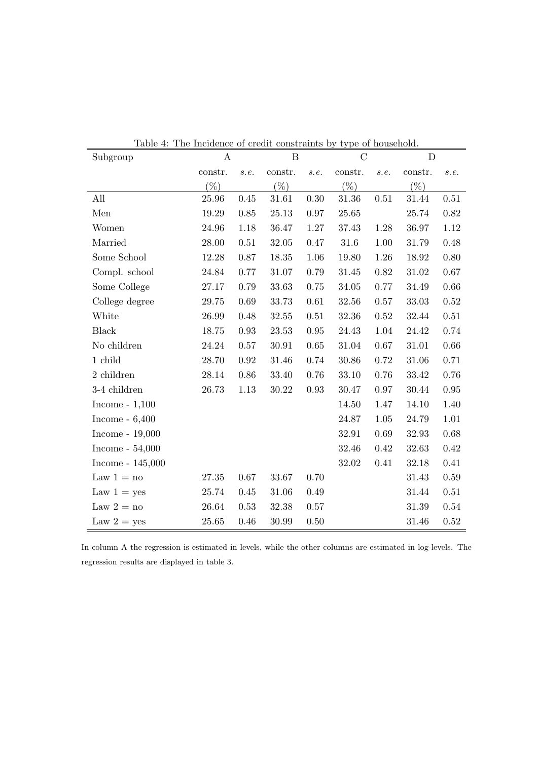| Subgroup           | mentence<br>$\boldsymbol{A}$ |            | or create computation<br>$\boldsymbol{B}$ |          | $\mathcal{C}$ | or nouschora. | D         |          |
|--------------------|------------------------------|------------|-------------------------------------------|----------|---------------|---------------|-----------|----------|
|                    | constr.                      | s.e.       | constr.                                   | s.e.     | constr.       | s.e.          | constr.   | s.e.     |
|                    | $(\%)$                       |            | $(\%)$                                    |          | $(\%)$        |               | $(\%)$    |          |
| All                | 25.96                        | 0.45       | 31.61                                     | 0.30     | 31.36         | 0.51          | 31.44     | 0.51     |
| Men                | 19.29                        | 0.85       | 25.13                                     | $0.97\,$ | 25.65         |               | 25.74     | $0.82\,$ |
| Women              | 24.96                        | 1.18       | 36.47                                     | 1.27     | 37.43         | 1.28          | 36.97     | 1.12     |
| Married            | 28.00                        | $0.51\,$   | 32.05                                     | 0.47     | $31.6\,$      | 1.00          | 31.79     | 0.48     |
| Some School        | 12.28                        | $0.87\,$   | 18.35                                     | $1.06\,$ | 19.80         | 1.26          | 18.92     | $0.80\,$ |
| Compl. school      | 24.84                        | 0.77       | 31.07                                     | 0.79     | 31.45         | 0.82          | 31.02     | 0.67     |
| Some College       | 27.17                        | 0.79       | 33.63                                     | 0.75     | 34.05         | 0.77          | 34.49     | 0.66     |
| College degree     | 29.75                        | 0.69       | 33.73                                     | $0.61\,$ | 32.56         | 0.57          | 33.03     | 0.52     |
| White              | 26.99                        | 0.48       | 32.55                                     | 0.51     | 32.36         | 0.52          | 32.44     | 0.51     |
| <b>Black</b>       | 18.75                        | 0.93       | 23.53                                     | $0.95\,$ | 24.43         | 1.04          | 24.42     | 0.74     |
| No children        | 24.24                        | 0.57       | 30.91                                     | 0.65     | 31.04         | 0.67          | 31.01     | $0.66\,$ |
| 1 child            | 28.70                        | $\rm 0.92$ | 31.46                                     | 0.74     | 30.86         | 0.72          | $31.06\,$ | 0.71     |
| 2 children         | 28.14                        | 0.86       | 33.40                                     | 0.76     | 33.10         | 0.76          | 33.42     | 0.76     |
| 3-4 children       | 26.73                        | 1.13       | 30.22                                     | 0.93     | 30.47         | 0.97          | 30.44     | $0.95\,$ |
| Income - $1,100$   |                              |            |                                           |          | 14.50         | 1.47          | 14.10     | 1.40     |
| Income - $6,400$   |                              |            |                                           |          | 24.87         | 1.05          | 24.79     | $1.01\,$ |
| Income - $19,000$  |                              |            |                                           |          | 32.91         | 0.69          | 32.93     | 0.68     |
| Income - $54,000$  |                              |            |                                           |          | 32.46         | 0.42          | 32.63     | $0.42\,$ |
| Income - $145,000$ |                              |            |                                           |          | 32.02         | 0.41          | 32.18     | 0.41     |
| Law $1 = no$       | 27.35                        | 0.67       | 33.67                                     | 0.70     |               |               | 31.43     | 0.59     |
| Law $1 = yes$      | 25.74                        | 0.45       | 31.06                                     | 0.49     |               |               | 31.44     | 0.51     |
| Law $2 = no$       | 26.64                        | 0.53       | 32.38                                     | 0.57     |               |               | 31.39     | 0.54     |
| Law $2 = yes$      | 25.65                        | 0.46       | 30.99                                     | 0.50     |               |               | 31.46     | 0.52     |

Table 4: The Incidence of credit constraints by type of household.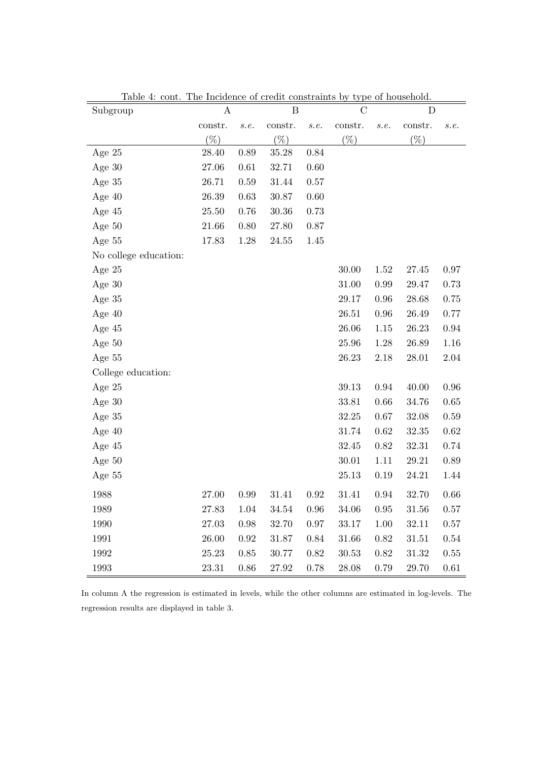| Lable 4. Come.<br>Subgroup | The including of create constraints by type of nousehold.<br>A |          | B       |          | $\mathcal C$ |            | D       |          |
|----------------------------|----------------------------------------------------------------|----------|---------|----------|--------------|------------|---------|----------|
|                            | constr.                                                        | s.e.     | constr. | s.e.     | constr.      | s.e.       | constr. | s.e.     |
|                            | $(\% )$                                                        |          | $(\% )$ |          | $(\% )$      |            | $(\% )$ |          |
| Age $25$                   | 28.40                                                          | 0.89     | 35.28   | 0.84     |              |            |         |          |
| Age $30$                   | 27.06                                                          | 0.61     | 32.71   | 0.60     |              |            |         |          |
| Age $35$                   | 26.71                                                          | 0.59     | 31.44   | 0.57     |              |            |         |          |
| Age $40$                   | 26.39                                                          | 0.63     | 30.87   | $0.60\,$ |              |            |         |          |
| Age $45$                   | 25.50                                                          | 0.76     | 30.36   | 0.73     |              |            |         |          |
| Age $50$                   | 21.66                                                          | 0.80     | 27.80   | 0.87     |              |            |         |          |
| Age 55                     | 17.83                                                          | 1.28     | 24.55   | 1.45     |              |            |         |          |
| No college education:      |                                                                |          |         |          |              |            |         |          |
| Age $25$                   |                                                                |          |         |          | 30.00        | 1.52       | 27.45   | 0.97     |
| Age $30$                   |                                                                |          |         |          | 31.00        | 0.99       | 29.47   | 0.73     |
| Age $35$                   |                                                                |          |         |          | 29.17        | 0.96       | 28.68   | 0.75     |
| Age $40$                   |                                                                |          |         |          | 26.51        | 0.96       | 26.49   | 0.77     |
| Age $45$                   |                                                                |          |         |          | 26.06        | 1.15       | 26.23   | 0.94     |
| Age $50$                   |                                                                |          |         |          | 25.96        | 1.28       | 26.89   | 1.16     |
| Age 55                     |                                                                |          |         |          | 26.23        | 2.18       | 28.01   | 2.04     |
| College education:         |                                                                |          |         |          |              |            |         |          |
| Age $25$                   |                                                                |          |         |          | 39.13        | 0.94       | 40.00   | 0.96     |
| Age $30$                   |                                                                |          |         |          | 33.81        | 0.66       | 34.76   | $0.65\,$ |
| Age $35$                   |                                                                |          |         |          | 32.25        | 0.67       | 32.08   | 0.59     |
| Age $40$                   |                                                                |          |         |          | 31.74        | 0.62       | 32.35   | 0.62     |
| Age 45                     |                                                                |          |         |          | 32.45        | 0.82       | 32.31   | 0.74     |
| Age $50$                   |                                                                |          |         |          | 30.01        | 1.11       | 29.21   | 0.89     |
| Age $55$                   |                                                                |          |         |          | 25.13        | 0.19       | 24.21   | 1.44     |
| 1988                       | 27.00                                                          | 0.99     | 31.41   | 0.92     | 31.41        | 0.94       | 32.70   | 0.66     |
| 1989                       | 27.83                                                          | 1.04     | 34.54   | $0.96\,$ | 34.06        | $\rm 0.95$ | 31.56   | 0.57     |
| 1990                       | 27.03                                                          | $0.98\,$ | 32.70   | 0.97     | 33.17        | 1.00       | 32.11   | 0.57     |
| 1991                       | 26.00                                                          | 0.92     | 31.87   | 0.84     | 31.66        | 0.82       | 31.51   | 0.54     |
| 1992                       | 25.23                                                          | 0.85     | 30.77   | 0.82     | 30.53        | 0.82       | 31.32   | 0.55     |
| 1993                       | 23.31                                                          | 0.86     | 27.92   | 0.78     | 28.08        | 0.79       | 29.70   | 0.61     |

Table 4: cont. The Incidence of credit constraints by type of household.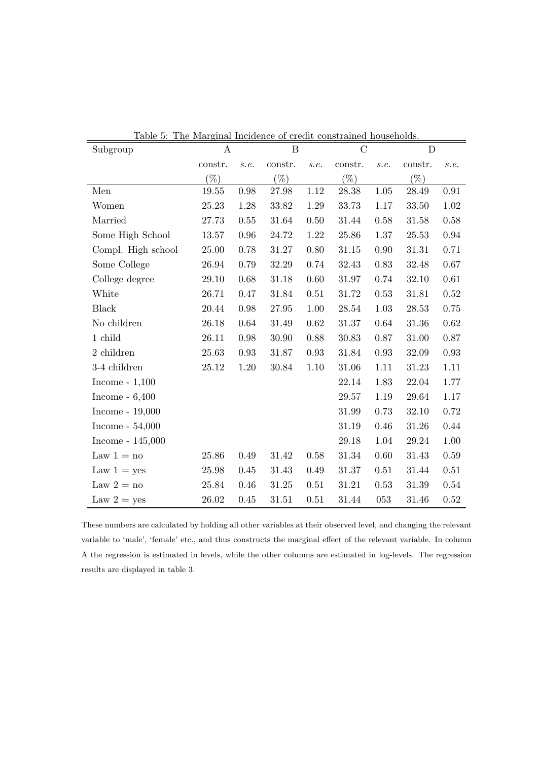| Subgroup           | $\mathbf{a}$<br>$\boldsymbol{A}$ | <i>rundrace</i> | B         |      | $\alpha$ . $\alpha$ . $\alpha$ . $\alpha$ . $\alpha$ . $\alpha$ . $\alpha$ . $\alpha$ . $\alpha$ . $\alpha$ . $\alpha$ . $\alpha$ . $\alpha$ . $\alpha$ . $\alpha$ . $\alpha$ . $\alpha$ . $\alpha$ . $\alpha$ . $\alpha$ . $\alpha$ . $\alpha$ . $\alpha$ . $\alpha$ . $\alpha$ . $\alpha$ . $\alpha$ . $\alpha$ . $\alpha$ . $\alpha$ . $\alpha$ . $\alpha$<br>$\mathcal{C}$ |          | D         |            |
|--------------------|----------------------------------|-----------------|-----------|------|--------------------------------------------------------------------------------------------------------------------------------------------------------------------------------------------------------------------------------------------------------------------------------------------------------------------------------------------------------------------------------|----------|-----------|------------|
|                    | constr.                          | s.e.            | constr.   | s.e. | constr.                                                                                                                                                                                                                                                                                                                                                                        | s.e.     | constr.   | s.e.       |
|                    | $(\%)$                           |                 | $(\%)$    |      | $(\%)$                                                                                                                                                                                                                                                                                                                                                                         |          | $(\%)$    |            |
| Men                | $19.55\,$                        | 0.98            | 27.98     | 1.12 | 28.38                                                                                                                                                                                                                                                                                                                                                                          | $1.05\,$ | 28.49     | $\rm 0.91$ |
| Women              | 25.23                            | 1.28            | 33.82     | 1.29 | 33.73                                                                                                                                                                                                                                                                                                                                                                          | 1.17     | 33.50     | 1.02       |
| Married            | 27.73                            | $0.55\,$        | 31.64     | 0.50 | 31.44                                                                                                                                                                                                                                                                                                                                                                          | 0.58     | 31.58     | 0.58       |
| Some High School   | 13.57                            | 0.96            | 24.72     | 1.22 | $25.86\,$                                                                                                                                                                                                                                                                                                                                                                      | 1.37     | $25.53\,$ | 0.94       |
| Compl. High school | 25.00                            | 0.78            | 31.27     | 0.80 | 31.15                                                                                                                                                                                                                                                                                                                                                                          | 0.90     | 31.31     | 0.71       |
| Some College       | 26.94                            | 0.79            | 32.29     | 0.74 | 32.43                                                                                                                                                                                                                                                                                                                                                                          | 0.83     | 32.48     | 0.67       |
| College degree     | 29.10                            | 0.68            | 31.18     | 0.60 | 31.97                                                                                                                                                                                                                                                                                                                                                                          | 0.74     | 32.10     | $0.61\,$   |
| White              | $26.71\,$                        | 0.47            | 31.84     | 0.51 | 31.72                                                                                                                                                                                                                                                                                                                                                                          | 0.53     | 31.81     | 0.52       |
| <b>Black</b>       | 20.44                            | 0.98            | 27.95     | 1.00 | 28.54                                                                                                                                                                                                                                                                                                                                                                          | 1.03     | 28.53     | 0.75       |
| No children        | 26.18                            | 0.64            | 31.49     | 0.62 | 31.37                                                                                                                                                                                                                                                                                                                                                                          | 0.64     | 31.36     | $0.62\,$   |
| 1 child            | $26.11\,$                        | 0.98            | 30.90     | 0.88 | 30.83                                                                                                                                                                                                                                                                                                                                                                          | 0.87     | 31.00     | 0.87       |
| 2 children         | 25.63                            | $\rm 0.93$      | 31.87     | 0.93 | 31.84                                                                                                                                                                                                                                                                                                                                                                          | 0.93     | 32.09     | $\rm 0.93$ |
| 3-4 children       | 25.12                            | 1.20            | 30.84     | 1.10 | 31.06                                                                                                                                                                                                                                                                                                                                                                          | 1.11     | 31.23     | 1.11       |
| Income - $1,100$   |                                  |                 |           |      | 22.14                                                                                                                                                                                                                                                                                                                                                                          | 1.83     | 22.04     | 1.77       |
| Income - $6,400$   |                                  |                 |           |      | 29.57                                                                                                                                                                                                                                                                                                                                                                          | 1.19     | 29.64     | 1.17       |
| Income - $19,000$  |                                  |                 |           |      | 31.99                                                                                                                                                                                                                                                                                                                                                                          | 0.73     | 32.10     | $0.72\,$   |
| Income - $54,000$  |                                  |                 |           |      | 31.19                                                                                                                                                                                                                                                                                                                                                                          | 0.46     | 31.26     | 0.44       |
| Income - $145,000$ |                                  |                 |           |      | 29.18                                                                                                                                                                                                                                                                                                                                                                          | 1.04     | 29.24     | 1.00       |
| Law $1 = no$       | 25.86                            | 0.49            | 31.42     | 0.58 | 31.34                                                                                                                                                                                                                                                                                                                                                                          | 0.60     | 31.43     | 0.59       |
| Law $1 = yes$      | 25.98                            | 0.45            | $31.43\,$ | 0.49 | $31.37\,$                                                                                                                                                                                                                                                                                                                                                                      | 0.51     | 31.44     | 0.51       |
| Law $2 = no$       | 25.84                            | 0.46            | 31.25     | 0.51 | 31.21                                                                                                                                                                                                                                                                                                                                                                          | 0.53     | 31.39     | $0.54\,$   |
| Law $2 = yes$      | 26.02                            | 0.45            | 31.51     | 0.51 | 31.44                                                                                                                                                                                                                                                                                                                                                                          | 053      | 31.46     | 0.52       |

Table 5: The Marginal Incidence of credit constrained households.

These numbers are calculated by holding all other variables at their observed level, and changing the relevant variable to 'male', 'female' etc., and thus constructs the marginal effect of the relevant variable. In column A the regression is estimated in levels, while the other columns are estimated in log-levels. The regression results are displayed in table 3.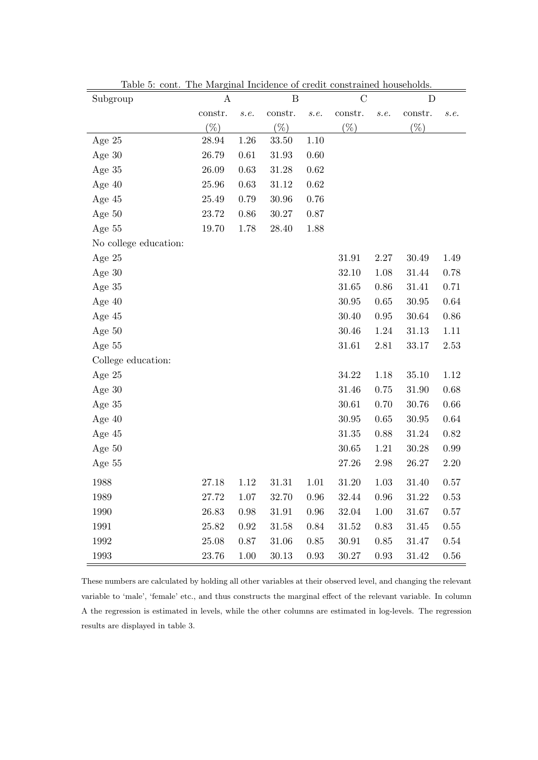| Subgroup              | $\boldsymbol{A}$ |               | B         |          | $\mathcal{C}$ |            | D         |      |
|-----------------------|------------------|---------------|-----------|----------|---------------|------------|-----------|------|
|                       | constr.          | $\emph{s.e.}$ | constr.   | s.e.     | constr.       | s.e.       | constr.   | s.e. |
|                       | $(\% )$          |               | $(\% )$   |          | $(\%)$        |            | $(\%)$    |      |
| Age $25$              | 28.94            | 1.26          | 33.50     | 1.10     |               |            |           |      |
| Age $30$              | 26.79            | 0.61          | 31.93     | 0.60     |               |            |           |      |
| Age 35                | 26.09            | 0.63          | $31.28\,$ | 0.62     |               |            |           |      |
| Age $40$              | 25.96            | 0.63          | 31.12     | 0.62     |               |            |           |      |
| Age 45                | 25.49            | 0.79          | 30.96     | 0.76     |               |            |           |      |
| Age $50$              | 23.72            | $0.86\,$      | 30.27     | 0.87     |               |            |           |      |
| Age $55$              | 19.70            | 1.78          | 28.40     | 1.88     |               |            |           |      |
| No college education: |                  |               |           |          |               |            |           |      |
| Age $25$              |                  |               |           |          | 31.91         | 2.27       | 30.49     | 1.49 |
| Age $30$              |                  |               |           |          | 32.10         | 1.08       | 31.44     | 0.78 |
| Age 35                |                  |               |           |          | 31.65         | $0.86\,$   | $31.41\,$ | 0.71 |
| Age $40$              |                  |               |           |          | 30.95         | $0.65\,$   | 30.95     | 0.64 |
| Age $45$              |                  |               |           |          | 30.40         | $\rm 0.95$ | 30.64     | 0.86 |
| Age $50$              |                  |               |           |          | 30.46         | 1.24       | 31.13     | 1.11 |
| Age 55                |                  |               |           |          | 31.61         | 2.81       | 33.17     | 2.53 |
| College education:    |                  |               |           |          |               |            |           |      |
| Age $25$              |                  |               |           |          | 34.22         | 1.18       | 35.10     | 1.12 |
| Age $30$              |                  |               |           |          | 31.46         | 0.75       | 31.90     | 0.68 |
| Age 35                |                  |               |           |          | $30.61\,$     | 0.70       | 30.76     | 0.66 |
| Age $40$              |                  |               |           |          | 30.95         | 0.65       | 30.95     | 0.64 |
| Age $45$              |                  |               |           |          | 31.35         | 0.88       | 31.24     | 0.82 |
| Age $50$              |                  |               |           |          | $30.65\,$     | 1.21       | 30.28     | 0.99 |
| Age $55$              |                  |               |           |          | 27.26         | 2.98       | 26.27     | 2.20 |
| 1988                  | 27.18            | 1.12          | $31.31\,$ | 1.01     | 31.20         | 1.03       | 31.40     | 0.57 |
| 1989                  | 27.72            | 1.07          | 32.70     | 0.96     | 32.44         | 0.96       | 31.22     | 0.53 |
| 1990                  | 26.83            | 0.98          | 31.91     | $0.96\,$ | 32.04         | 1.00       | 31.67     | 0.57 |
| 1991                  | 25.82            | $0.92\,$      | 31.58     | 0.84     | 31.52         | 0.83       | 31.45     | 0.55 |
| 1992                  | 25.08            | 0.87          | 31.06     | 0.85     | 30.91         | $0.85\,$   | 31.47     | 0.54 |
| 1993                  | 23.76            | $1.00\,$      | 30.13     | $0.93\,$ | 30.27         | 0.93       | 31.42     | 0.56 |

Table 5: cont. The Marginal Incidence of credit constrained households.

These numbers are calculated by holding all other variables at their observed level, and changing the relevant variable to 'male', 'female' etc., and thus constructs the marginal effect of the relevant variable. In column A the regression is estimated in levels, while the other columns are estimated in log-levels. The regression results are displayed in table 3.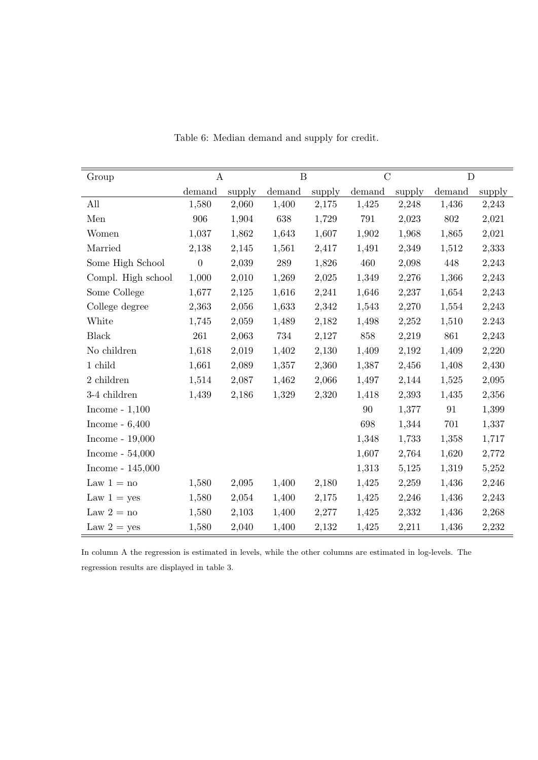| Group               | $\bf{A}$         |        |        | $\overline{B}$ |        | $\overline{C}$ |        | $\mathbf D$ |  |
|---------------------|------------------|--------|--------|----------------|--------|----------------|--------|-------------|--|
|                     | demand           | supply | demand | supply         | demand | supply         | demand | supply      |  |
| All                 | 1,580            | 2,060  | 1,400  | 2,175          | 1,425  | 2,248          | 1,436  | 2,243       |  |
| Men                 | 906              | 1,904  | 638    | 1,729          | 791    | 2,023          | 802    | 2,021       |  |
| Women               | 1,037            | 1,862  | 1,643  | 1,607          | 1,902  | 1,968          | 1,865  | 2,021       |  |
| Married             | 2,138            | 2,145  | 1,561  | 2,417          | 1,491  | 2,349          | 1,512  | 2,333       |  |
| Some High School    | $\boldsymbol{0}$ | 2,039  | 289    | 1,826          | 460    | 2,098          | 448    | 2,243       |  |
| Compl. High school  | 1,000            | 2,010  | 1,269  | 2,025          | 1,349  | 2,276          | 1,366  | 2,243       |  |
| Some College        | 1,677            | 2,125  | 1,616  | 2,241          | 1,646  | 2,237          | 1,654  | 2,243       |  |
| College degree      | 2,363            | 2,056  | 1,633  | 2,342          | 1,543  | 2,270          | 1,554  | 2,243       |  |
| White               | 1,745            | 2,059  | 1,489  | 2,182          | 1,498  | 2,252          | 1,510  | 2.243       |  |
| <b>Black</b>        | 261              | 2,063  | 734    | 2,127          | 858    | 2,219          | 861    | 2,243       |  |
| No children         | 1,618            | 2,019  | 1,402  | 2,130          | 1,409  | 2,192          | 1,409  | 2,220       |  |
| $1$ child           | 1,661            | 2,089  | 1,357  | 2,360          | 1,387  | 2,456          | 1,408  | 2,430       |  |
| 2 children          | 1,514            | 2,087  | 1,462  | 2,066          | 1,497  | 2,144          | 1,525  | 2,095       |  |
| 3-4 children        | 1,439            | 2,186  | 1,329  | 2,320          | 1,418  | 2,393          | 1,435  | 2,356       |  |
| Income - $1,100$    |                  |        |        |                | 90     | 1,377          | 91     | 1,399       |  |
| Income - $6,400$    |                  |        |        |                | 698    | 1,344          | 701    | 1,337       |  |
| Income - $19,\!000$ |                  |        |        |                | 1,348  | 1,733          | 1,358  | 1,717       |  |
| Income - $54,000$   |                  |        |        |                | 1,607  | 2,764          | 1,620  | 2,772       |  |
| Income - $145,000$  |                  |        |        |                | 1,313  | 5,125          | 1,319  | 5,252       |  |
| Law $1 = no$        | 1,580            | 2,095  | 1,400  | 2,180          | 1,425  | 2,259          | 1,436  | 2,246       |  |
| Law $1 = yes$       | 1,580            | 2,054  | 1,400  | 2,175          | 1,425  | 2,246          | 1,436  | 2,243       |  |
| Law $2 = no$        | 1,580            | 2,103  | 1,400  | 2,277          | 1,425  | 2,332          | 1,436  | 2,268       |  |
| Law $2 = yes$       | 1,580            | 2,040  | 1,400  | 2,132          | 1,425  | 2,211          | 1,436  | 2,232       |  |

Table 6: Median demand and supply for credit.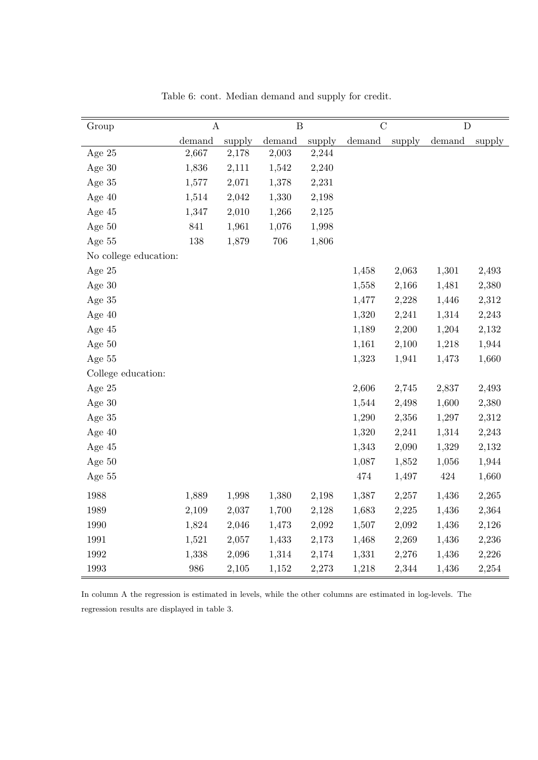| Group                 | $\boldsymbol{\rm{A}}$ |        | $\overline{B}$ |        | $\overline{C}$ |        | $\overline{D}$ |        |
|-----------------------|-----------------------|--------|----------------|--------|----------------|--------|----------------|--------|
|                       | demand                | supply | demand         | supply | demand         | supply | demand         | supply |
| Age 25                | 2,667                 | 2,178  | 2,003          | 2,244  |                |        |                |        |
| Age 30                | 1,836                 | 2,111  | 1,542          | 2,240  |                |        |                |        |
| Age 35                | 1,577                 | 2,071  | 1,378          | 2,231  |                |        |                |        |
| Age $40$              | 1,514                 | 2,042  | 1,330          | 2,198  |                |        |                |        |
| Age 45                | 1,347                 | 2,010  | 1,266          | 2,125  |                |        |                |        |
| Age 50                | 841                   | 1,961  | 1,076          | 1,998  |                |        |                |        |
| Age 55                | 138                   | 1,879  | $706\,$        | 1,806  |                |        |                |        |
| No college education: |                       |        |                |        |                |        |                |        |
| Age 25                |                       |        |                |        | 1,458          | 2,063  | 1,301          | 2,493  |
| Age $30$              |                       |        |                |        | 1,558          | 2,166  | 1,481          | 2,380  |
| Age $35\,$            |                       |        |                |        | 1,477          | 2,228  | 1,446          | 2,312  |
| Age $40$              |                       |        |                |        | 1,320          | 2,241  | 1,314          | 2,243  |
| Age $45$              |                       |        |                |        | 1,189          | 2,200  | 1,204          | 2,132  |
| Age 50                |                       |        |                |        | 1,161          | 2,100  | 1,218          | 1,944  |
| Age 55                |                       |        |                |        | 1,323          | 1,941  | 1,473          | 1,660  |
| College education:    |                       |        |                |        |                |        |                |        |
| Age 25                |                       |        |                |        | 2,606          | 2,745  | 2,837          | 2,493  |
| Age $30$              |                       |        |                |        | 1,544          | 2,498  | 1,600          | 2,380  |
| Age 35                |                       |        |                |        | 1,290          | 2,356  | 1,297          | 2,312  |
| Age $40$              |                       |        |                |        | 1,320          | 2,241  | 1,314          | 2,243  |
| Age 45                |                       |        |                |        | 1,343          | 2,090  | 1,329          | 2,132  |
| Age 50                |                       |        |                |        | 1,087          | 1,852  | 1,056          | 1,944  |
| Age 55                |                       |        |                |        | 474            | 1,497  | 424            | 1,660  |
| 1988                  | 1,889                 | 1,998  | 1,380          | 2,198  | 1,387          | 2,257  | 1,436          | 2,265  |
| 1989                  | 2,109                 | 2,037  | 1,700          | 2,128  | 1,683          | 2,225  | 1,436          | 2,364  |
| 1990                  | 1,824                 | 2,046  | 1,473          | 2,092  | 1,507          | 2,092  | 1,436          | 2,126  |
| 1991                  | 1,521                 | 2,057  | 1,433          | 2,173  | 1,468          | 2,269  | 1,436          | 2,236  |
| 1992                  | 1,338                 | 2,096  | 1,314          | 2,174  | 1,331          | 2,276  | 1,436          | 2,226  |
| 1993                  | 986                   | 2,105  | 1,152          | 2,273  | 1,218          | 2,344  | 1,436          | 2,254  |

Table 6: cont. Median demand and supply for credit.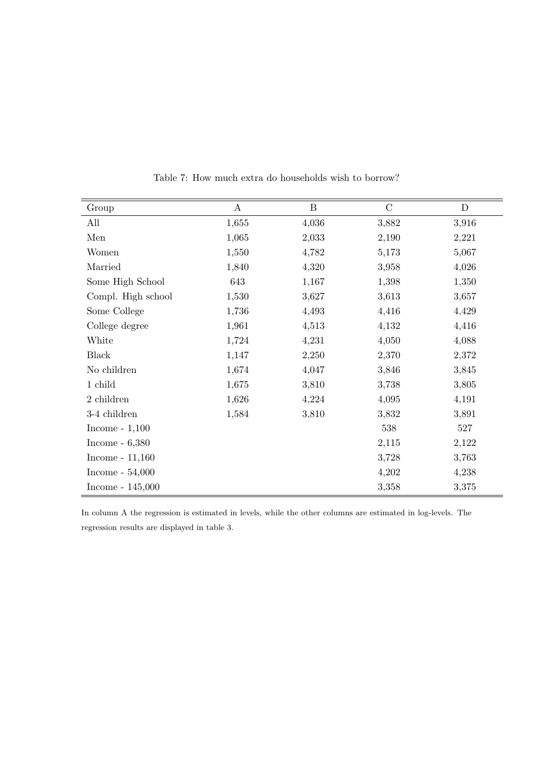| Group              | $\boldsymbol{A}$ | $\mathbf{B}$ | $\mathcal{C}$ | $\mathbf D$ |
|--------------------|------------------|--------------|---------------|-------------|
| All                | 1,655            | 4,036        | 3,882         | 3,916       |
| Men                | 1,065            | 2,033        | 2,190         | 2,221       |
| Women              | 1,550            | 4,782        | 5,173         | 5,067       |
| Married            | 1,840            | 4,320        | 3,958         | 4,026       |
| Some High School   | 643              | 1,167        | 1,398         | 1,350       |
| Compl. High school | 1,530            | 3,627        | 3,613         | 3,657       |
| Some College       | 1,736            | 4,493        | 4,416         | 4,429       |
| College degree     | 1,961            | 4,513        | 4,132         | 4,416       |
| White              | 1,724            | 4,231        | 4,050         | 4,088       |
| <b>Black</b>       | 1,147            | 2,250        | 2,370         | 2,372       |
| No children        | 1,674            | 4,047        | 3,846         | 3,845       |
| 1 child            | 1,675            | 3,810        | 3,738         | 3,805       |
| 2 children         | 1,626            | 4,224        | 4,095         | 4,191       |
| 3-4 children       | 1,584            | 3,810        | 3,832         | 3,891       |
| Income - $1,100$   |                  |              | 538           | 527         |
| Income - $6,380$   |                  |              | 2,115         | 2,122       |
| Income - $11,160$  |                  |              | 3,728         | 3,763       |
| Income - $54,000$  |                  |              | 4,202         | 4,238       |
| Income - $145,000$ |                  |              | 3,358         | 3,375       |

Table 7: How much extra do households wish to borrow?